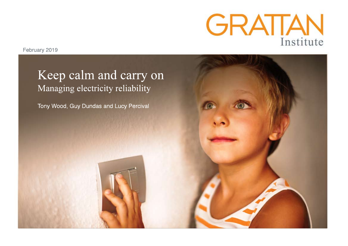

February 2019

# Keep calm and carry on Managing electricity reliability

Tony Wood, Guy Dundas and Lucy Percival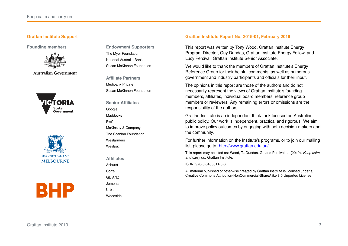#### **Grattan Institute Support**



**Australian Government** 







**Founding members Endowment Supporters** The Myer Foundation National Australia Bank Susan McKinnon Foundation

> **Affiliate Partners** Medibank Private Susan McKinnon Foundation

**Senior Affiliates** Google Maddocks PwC McKinsey & Company The Scanlon Foundation Wesfarmers Westpac

**Affiliates**

Ashurst Corrs

GE ANZ Jemena

Urbis

Woodside

#### **Grattan Institute Report No. 2019-01, February 2019**

This report was written by Tony Wood, Grattan Institute Energy Program Director, Guy Dundas, Grattan Institute Energy Fellow, and Lucy Percival, Grattan Institute Senior Associate.

We would like to thank the members of Grattan Institute's Energy Reference Group for their helpful comments, as well as numerous government and industry participants and officials for their input.

The opinions in this report are those of the authors and do not necessarily represent the views of Grattan Institute's founding members, affiliates, individual board members, reference group members or reviewers. Any remaining errors or omissions are the responsibility of the authors.

Grattan Institute is an independent think-tank focused on Australian public policy. Our work is independent, practical and rigorous. We aim to improve policy outcomes by engaging with both decision-makers and the community.

For further information on the Institute's programs, or to join our mailing list, please go to: [http://www.grattan.edu.au/.](http://www.grattan.edu.au/)

This report may be cited as: Wood, T., Dundas, G., and Percival, L. (2019). *Keep calm and carry on*. Grattan Institute.

ISBN: 978-0-6483311-8-6

All material published or otherwise created by Grattan Institute is licensed under a Creative Commons Attribution-NonCommercial-ShareAlike 3.0 Unported License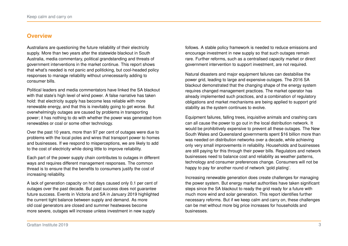# <span id="page-2-0"></span>**Overview**

Australians are questioning the future reliability of their electricity supply. More than two years after the statewide blackout in South Australia, media commentary, political grandstanding and threats of government interventions in the market continue. This report shows that what's needed is not panic and politicking, but cool-headed policy responses to manage reliability without unnecessarily adding to consumer bills.

Political leaders and media commentators have linked the SA blackout with that state's high level of wind power. A false narrative has taken hold: that electricity supply has become less reliable with more renewable energy, and that this is inevitably going to get worse. But overwhelmingly outages are caused by problems in transporting power; it has nothing to do with whether the power was generated from renewables or coal or some other technology.

Over the past 10 years, more than 97 per cent of outages were due to problems with the local poles and wires that transport power to homes and businesses. If we respond to misperceptions, we are likely to add to the cost of electricity while doing little to improve reliability.

Each part of the power supply chain contributes to outages in different ways and requires different management responses. The common thread is to ensure that the benefits to consumers justify the cost of increasing reliability.

A lack of generation capacity on hot days caused only 0.1 per cent of outages over the past decade. But past success does not guarantee future success. Events in Victoria and SA in January 2019 highlighted the current tight balance between supply and demand. As more old coal generators are closed and summer heatwaves become more severe, outages will increase unless investment in new supply

follows. A stable policy framework is needed to reduce emissions and encourage investment in new supply so that such outages remain rare. Further reforms, such as a centralised capacity market or direct government intervention to support investment, are not required.

Natural disasters and major equipment failures can destabilise the power grid, leading to large and expensive outages. The 2016 SA blackout demonstrated that the changing shape of the energy system requires changed management practices. The market operator has already implemented such practices, and a combination of regulatory obligations and market mechanisms are being applied to support grid stability as the system continues to evolve.

Equipment failures, falling trees, inquisitive animals and crashing cars can all cause the power to go out in the local distribution network. It would be prohibitively expensive to prevent all these outages. The New South Wales and Queensland governments spent \$16 billion more than was needed on distribution networks over a decade, while achieving only very small improvements in reliability. Households and businesses are still paying for this through their power bills. Regulators and network businesses need to balance cost and reliability as weather patterns, technology and consumer preferences change. Consumers will not be happy to pay for another round of network 'gold plating'.

Increasing renewable generation does create challenges for managing the power system. But energy market authorities have taken significant steps since the SA blackout to ready the grid ready for a future with much more wind and solar generation. This report identifies further necessary reforms. But if we keep calm and carry on, these challenges can be met without more big price increases for households and businesses.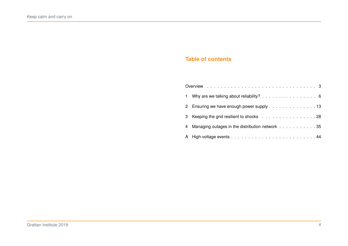# **Table of contents**

| 1 Why are we talking about reliability? 6         |
|---------------------------------------------------|
| 2 Ensuring we have enough power supply 13         |
| 3 Keeping the grid resilient to shocks 28         |
| 4 Managing outages in the distribution network 35 |
|                                                   |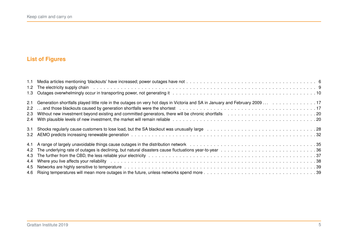# **List of Figures**

| 1.2 The electricity supply chain electricity chain electronic contracts in the contracts of the contracts of the contracts of the contracts of the contracts of the contracts of the contracts of the contracts of the contrac |
|--------------------------------------------------------------------------------------------------------------------------------------------------------------------------------------------------------------------------------|
|                                                                                                                                                                                                                                |
|                                                                                                                                                                                                                                |
|                                                                                                                                                                                                                                |
|                                                                                                                                                                                                                                |
|                                                                                                                                                                                                                                |
|                                                                                                                                                                                                                                |
|                                                                                                                                                                                                                                |
|                                                                                                                                                                                                                                |
|                                                                                                                                                                                                                                |
|                                                                                                                                                                                                                                |
| 4.4 Where you live affects your reliability entermination of the content of the content of the content of the content of the content of the content of the content of the content of the content of the content of the content |
|                                                                                                                                                                                                                                |
|                                                                                                                                                                                                                                |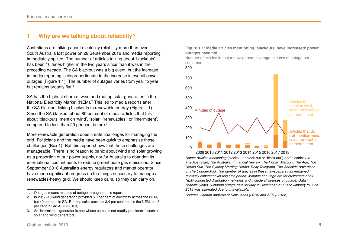# <span id="page-5-0"></span>**1 Why are we talking about reliability?**

Australians are talking about electricity reliability more than ever. South Australia lost power on 28 September 2016 and media reporting immediately spiked. The number of articles talking about 'blackouts' has been 10 times higher in the two years since than it was in the preceding decade. The SA blackout was a big event, but the increase in media reporting is disproportionate to the increase in overall power outages (Figure [1.1\)](#page-5-1). The number of outages varies from year to year but remains broadly flat.<sup>[1](#page-5-2)</sup>

SA has the highest share of wind and rooftop solar generation in the National Electricity Market (NEM).[2](#page-5-3) This led to media reports after the SA blackout linking blackouts to renewable energy (Figure [1.1\)](#page-5-1). Since the SA blackout about 80 per cent of media articles that talk about 'blackouts' mention 'wind', 'solar', 'renewables', or 'intermittent', compared to less than 20 per cent before.[3](#page-5-4)

More renewable generation does create challenges for managing the grid. Politicians and the media have been quick to emphasise these challenges (Box [1\)](#page-6-0). But this report shows that these challenges are manageable. There is no reason to panic about wind and solar growing as a proportion of our power supply, nor for Australia to abandon its international commitments to reduce greenhouse gas emissions. Since September 2016 Australia's energy regulators and market operator have made significant progress on the things necessary to manage a renewables-heavy grid. We should keep calm, so they can carry on.

#### <span id="page-5-1"></span>**Figure 1.1: Media articles mentioning 'blackouts' have increased; power outages have not**

Number of articles in major newspapers, average minutes of outage per customer



*Notes: Articles mentioning* (blackout or black-out or "black out") *and* electricity *in The Australian, The Australian Financial Review, The Hobart Mercury, The Age, The Herald Sun, The Sydney Morning Herald, Daily Telegraph, The Adelaide Advertiser or The Courier-Mail. The number of articles in these newspapers has remained relatively constant over this time period. Minutes of outage are for customers of all NEM-connected distribution networks and include all sources of outage. Data in financial years. Victorian outage data for July to December 2008 and January to June 2018 was estimated due to unavailability.*

*Sources: Grattan analysis of [Dow Jones \(2018\)](#page-51-0) and [AER \(2018b\).](#page-51-1)*

<span id="page-5-2"></span><sup>1.</sup> Outages means minutes of outage throughout this report.

<span id="page-5-3"></span><sup>2.</sup> In 2017–18 wind generation provided 6.3 per cent of electricity across the NEM, but 40 per cent in SA. Rooftop solar provides 3.4 per cent across the NEM, but 8 per cent in SA: [AER \(2018a\).](#page-50-0)

<span id="page-5-4"></span><sup>3.</sup> An 'intermittent' generator is one whose output is not readily predictable, such as solar and wind generators.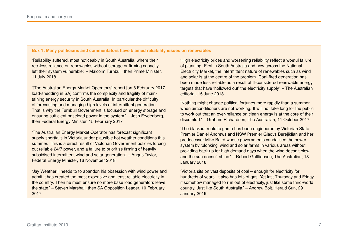#### <span id="page-6-0"></span>**Box 1: Many politicians and commentators have blamed reliability issues on renewables**

'Reliability suffered, most noticeably in South Australia, where their reckless reliance on renewables without storage or firming capacity left their system vulnerable.' – Malcolm Turnbull, then Prime Minister, 11 July 2018

'[The Australian Energy Market Operator's] report [on 8 February 2017 load-shedding in SA] confirms the complexity and fragility of maintaining energy security in South Australia. In particular the difficulty of forecasting and managing high levels of intermittent generation. That is why the Turnbull Government is focused on energy storage and ensuring sufficient baseload power in the system.' – Josh Frydenberg, then Federal Energy Minister, 15 February 2017

'The Australian Energy Market Operator has forecast significant supply shortfalls in Victoria under plausible hot weather conditions this summer. This is a direct result of Victorian Government policies forcing out reliable 24/7 power, and a failure to prioritise firming of heavily subsidised intermittent wind and solar generation.' – Angus Taylor, Federal Energy Minister, 16 November 2018

'Jay Weatherill needs to to abandon his obsession with wind power and admit it has created the most expensive and least reliable electricity in the country. Then he must ensure no more base load generators leave the state.' – Steven Marshall, then SA Opposition Leader, 10 February 2017

'High electricity prices and worsening reliability reflect a woeful failure of planning. First in South Australia and now across the National Electricity Market, the intermittent nature of renewables such as wind and solar is at the centre of the problem. Coal-fired generation has been made less reliable as a result of ill-considered renewable energy targets that have 'hollowed out' the electricity supply.' – The Australian editorial, 15 June 2018

'Nothing might change political fortunes more rapidly than a summer when airconditioners are not working. It will not take long for the public to work out that an over-reliance on clean energy is at the core of their discomfort.' – Graham Richardson, The Australian, 11 October 2017

'The blackout roulette game has been engineered by Victorian State Premier Daniel Andrews and NSW Premier Gladys Berejiklian and her predecessor Mike Baird whose governments vandalised the power system by 'plonking' wind and solar farms in various areas without providing back up for high demand days when the wind doesn't blow and the sun doesn't shine.' – Robert Gottliebsen, The Australian, 18 January 2018

'Victoria sits on vast deposits of coal – enough for electricity for hundreds of years. It also has lots of gas. Yet last Thursday and Friday it somehow managed to run out of electricity, just like some third-world country. Just like South Australia.' – Andrew Bolt, Herald Sun, 29 January 2019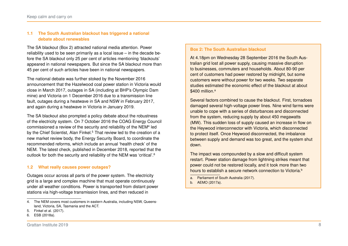# **1.1 The South Australian blackout has triggered a national debate about renewables**

The SA blackout (Box [2\)](#page-7-0) attracted national media attention. Power reliability used to be seen primarily as a local issue – in the decade before the SA blackout only 25 per cent of articles mentioning 'blackouts' appeared in national newspapers. But since the SA blackout more than 45 per cent of such articles have been in national newspapers.

The national debate was further stoked by the November 2016 announcement that the Hazelwood coal power station in Victoria would close in March 2017, outages in SA (including at BHP's Olympic Dam mine) and Victoria on 1 December 2016 due to a transmission line fault, outages during a heatwave in SA and NSW in February 2017, and again during a heatwave in Victoria in January 2019.

The SA blackout also prompted a policy debate about the robustness of the electricity system. On 7 October 2016 the COAG Energy Council commissioned a review of the security and reliability of the NEM<sup>[4](#page-7-1)</sup> led by the Chief Scientist, Alan Finkel.<sup>[5](#page-7-2)</sup> That review led to the creation of a new market review body, the Energy Security Board, to coordinate the recommended reforms, which include an annual 'health check' of the NEM. The latest check, published in December 2018, reported that the outlook for both the security and reliability of the NEM was 'critical'.[6](#page-7-3)

# **1.2 What really causes power outages?**

Outages occur across all parts of the power system. The electricity grid is a large and complex machine that must operate continuously under all weather conditions. Power is transported from distant power stations via high-voltage transmission lines, and then reduced in

#### <span id="page-7-0"></span>**Box 2: The South Australian blackout**

At 4.18pm on Wednesday 28 September 2016 the South Australian grid lost all power supply, causing massive disruption to businesses, commuters and households. About 80-90 per cent of customers had power restored by midnight, but some customers were without power for two weeks. Two separate studies estimated the economic effect of the blackout at about \$400 million.<sup>[a](#page-7-4)</sup>

Several factors combined to cause the blackout. First, tornadoes damaged several high-voltage power lines. Nine wind farms were unable to cope with a series of disturbances and disconnected from the system, reducing supply by about 450 megawatts (MW). This sudden loss of supply caused an increase in flow on the Heywood interconnector with Victoria, which disconnected to protect itself. Once Heywood disconnected, the imbalance between supply and demand was too great, and the system shut down.

The impact was compounded by a slow and difficult system restart. Power station damage from lightning strikes meant that power could not be restored locally, and it took more than two hours to esta[b](#page-7-5)lish a secure network connection to Victoria.<sup>b</sup>

<span id="page-7-4"></span>a. [Parliament of South Australia \(2017\).](#page-53-0)

<span id="page-7-5"></span>b. [AEMO \(2017a\).](#page-49-0)

<span id="page-7-1"></span><sup>4.</sup> The NEM covers most customers in eastern Australia, including NSW, Queensland, Victoria, SA, Tasmania and the ACT.

<span id="page-7-2"></span><sup>5.</sup> [Finkel et al. \(2017\).](#page-52-0)

<span id="page-7-3"></span><sup>6.</sup> [ESB \(2018a\).](#page-52-1)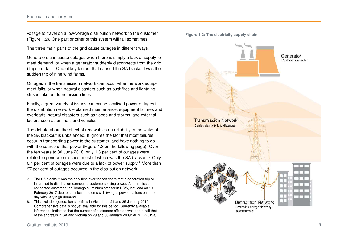voltage to travel on a low-voltage distribution network to the customer (Figure [1.2\)](#page-8-0). One part or other of this system will fail sometimes.

The three main parts of the grid cause outages in different ways.

Generators can cause outages when there is simply a lack of supply to meet demand, or when a generator suddenly disconnects from the grid ('trips') or fails. One of key factors that caused the SA blackout was the sudden trip of nine wind farms.

Outages in the transmission network can occur when network equipment fails, or when natural disasters such as bushfires and lightning strikes take out transmission lines.

Finally, a great variety of issues can cause localised power outages in the distribution network – planned maintenance, equipment failures and overloads, natural disasters such as floods and storms, and external factors such as animals and vehicles.

The debate about the effect of renewables on reliability in the wake of the SA blackout is unbalanced. It ignores the fact that most failures occur in transporting power to the customer, and have nothing to do with the source of that power (Figure [1.3](#page-9-0) on the following page). Over the ten years to 30 June 2018, only 1.6 per cent of outages were related to generation issues, most of which was the SA blackout.[7](#page-8-1) Only 0.1 per cent of outages were due to a lack of power supply.<sup>[8](#page-8-2)</sup> More than 97 per cent of outages occurred in the distribution network.



<span id="page-8-0"></span>**Figure 1.2: The electricity supply chain**

<span id="page-8-1"></span><sup>7.</sup> The SA blackout was the only time over the ten years that a generation trip or failure led to distribution-connected customers losing power. A transmissionconnected customer, the Tomago aluminium smelter in NSW, lost load on 10 February 2017 due to technical problems with two gas power stations on a hot day with very high demand.

<span id="page-8-2"></span><sup>8.</sup> This excludes generation shortfalls in Victoria on 24 and 25 January 2019. Comprehensive data is not yet available for this period. Currently available information indicates that the number of customers affected was about half that of the shortfalls in SA and Victoria on 29 and 30 January 2009: [AEMO \(2019a\).](#page-50-1)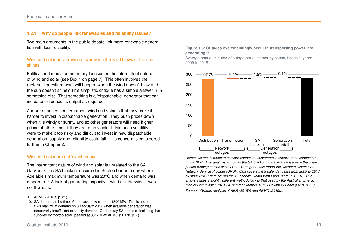#### **1.2.1 Why do people link renewables and reliability issues?**

Two main arguments in the public debate link more renewable generation with less reliability.

#### Wind and solar only provide power when the wind blows or the sun shines

Political and media commentary focuses on the intermittent nature of wind and solar (see Box [1](#page-6-0) on page [7\)](#page-6-0). This often involves the rhetorical question: what will happen when the wind doesn't blow and the sun doesn't shine? This simplistic critique has a simple answer: run something else. That something is a 'dispatchable' generator that can increase or reduce its output as required.

A more nuanced concern about wind and solar is that they make it harder to invest in dispatchable generation. They push prices down when it is windy or sunny, and so other generators will need higher prices at other times if they are to be viable. If this price volatility were to make it too risky and difficult to invest in new dispatchable generation, supply and reliability could fall. This concern is considered further in Chapter [2.](#page-12-0)

#### Wind and solar are not 'synchronous'

The intermittent nature of wind and solar is unrelated to the SA blackout.[9](#page-9-1) The SA blackout occurred in September on a day where Adelaide's maximum temperature was 20∘C and when demand was moderate.<sup>[10](#page-9-2)</sup> A lack of generating capacity – wind or otherwise – was not the issue.

#### <span id="page-9-0"></span>**Figure 1.3: Outages overwhelmingly occur in transporting power, not generating it**

Average annual minutes of outage per customer by cause, financial years 2009 to 2018



*Notes: Covers distribution network-connected customers in supply areas connected to the NEM. This analysis attributes the SA blackout to generation issues – the unexpected tripping of nine wind farms. Throughout this report the Victorian Distribution Network Service Provider (DNSP) data covers the 9 calendar years from 2009 to 2017, all other DNSP data covers the 10 financial years from 2008–09 to 2017–18. This analysis uses a slightly different methodology to that used by the Australian Energy Market Commission (AEMC), see for example AEMC Reliability Panel [\(2018,](#page-49-3) p. 53). Sources: Grattan analysis of [AER \(2018b\)](#page-51-1) and [AEMO \(2019b\).](#page-50-2)*

<span id="page-9-1"></span><sup>9.</sup> AEMO [\(2016a,](#page-49-1) p. 21).

<span id="page-9-2"></span><sup>10.</sup> SA demand at the time of the blackout was about 1800 MW. This is about half SA's maximum demand on 8 February 2017 when available generation was temporarily insufficient to satisfy demand. On that day SA demand (including that supplied by rooftop solar) peaked at 3317 MW: AEMO [\(2017b,](#page-49-2) p. 7).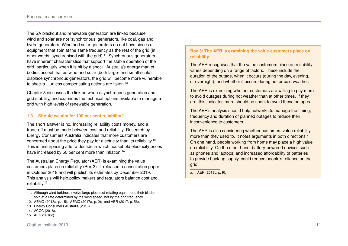The SA blackout and renewable generation are linked because wind and solar are not 'synchronous' generators, like coal, gas and hydro generators. Wind and solar generators do not have pieces of equipment that spin at the same frequency as the rest of the grid (in other words, synchronised with the grid).[11](#page-10-0) Synchronous generators have inherent characteristics that support the stable operation of the grid, particularly when it is hit by a shock. Australia's energy market bodies accept that as wind and solar (both large- and small-scale) displace synchronous generators, the grid will become more vulnerable to shocks – unless compensating actions are taken.<sup>[12](#page-10-1)</sup>

Chapter [3](#page-27-0) discusses the link between asynchronous generation and grid stability, and examines the technical options available to manage a grid with high levels of renewable generation.

# **1.3 Should we aim for 100 per cent reliability?**

The short answer is no. Increasing reliability costs money, and a trade-off must be made between cost and reliability. Research by Energy Consumers Australia indicates that more customers are concerned about the price they pay for electricity than its reliability.[13](#page-10-2) This is unsurprising after a decade in which household electricity prices have increased by 50 per cent more than inflation.<sup>[14](#page-10-3)</sup>

The Australian Energy Regulator (AER) is examining the value customers place on reliability (Box [3\)](#page-10-4). It released a consultation paper in October 2018 and will publish its estimates by December 2019. This analysis will help policy makers and regulators balance cost and reliability.[15](#page-10-5)

# <span id="page-10-4"></span>**Box 3: The AER is examining the value customers place on reliability**

The AER recognises that the value customers place on reliability varies depending on a range of factors. These include the duration of the outage, when it occurs (during the day, evening, or overnight), and whether it occurs during hot or cold weather.

The AER is examining whether customers are willing to pay more to avoid outages during hot weather than at other times. If they are, this indicates more should be spent to avoid these outages.

The AER's analysis should help networks to manage the timing, frequency and duration of planned outages to reduce their inconvenience to customers.

The AER is also considering whether customers value reliability more th[a](#page-10-6)n they used to. It notes arguments in both directions.<sup>a</sup> On one hand, people working from home may place a high value on reliability. On the other hand, battery-powered devices such as phones and laptops, and increased affordability of batteries to provide back-up supply, could reduce people's reliance on the grid.

<span id="page-10-6"></span>a. AER [\(2018c,](#page-51-2) p. 9).

<span id="page-10-0"></span><sup>11.</sup> Although wind turbines involve large pieces of rotating equipment, their blades spin at a rate determined by the wind speed, not by the grid frequency.

<span id="page-10-1"></span><sup>12.</sup> AEMO [\(2018a,](#page-49-4) p. 15); AEMC [\(2017a,](#page-48-0) p. 2); and AER [\(2017,](#page-50-3) p. 56).

<span id="page-10-2"></span><sup>13.</sup> [Energy Consumers Australia \(2018\).](#page-52-2)

<span id="page-10-3"></span><sup>14.</sup> [ACCC \(2018\).](#page-48-1)

<span id="page-10-5"></span><sup>15.</sup> [AER \(2018c\).](#page-51-2)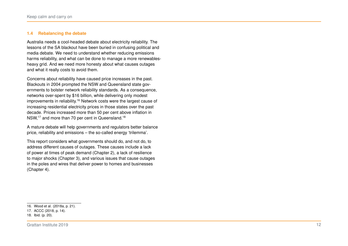#### **1.4 Rebalancing the debate**

Australia needs a cool-headed debate about electricity reliability. The lessons of the SA blackout have been buried in confusing political and media debate. We need to understand whether reducing emissions harms reliability, and what can be done to manage a more renewablesheavy grid. And we need more honesty about what causes outages and what it really costs to avoid them.

Concerns about reliability have caused price increases in the past. Blackouts in 2004 prompted the NSW and Queensland state governments to bolster network reliability standards. As a consequence, networks over-spent by \$16 billion, while delivering only modest improvements in reliability.<sup>[16](#page-11-0)</sup> Network costs were the largest cause of increasing residential electricity prices in those states over the past decade. Prices increased more than 50 per cent above inflation in NSW,<sup>[17](#page-11-1)</sup> and more than 70 per cent in Queensland.<sup>[18](#page-11-2)</sup>

A mature debate will help governments and regulators better balance price, reliability and emissions – the so-called energy 'trilemma'.

This report considers what governments should do, and not do, to address different causes of outages. These causes include a lack of power at times of peak demand (Chapter [2\)](#page-12-0), a lack of resilience to major shocks (Chapter [3\)](#page-27-0), and various issues that cause outages in the poles and wires that deliver power to homes and businesses (Chapter [4\)](#page-34-0).

<span id="page-11-0"></span><sup>16.</sup> Wood et al. [\(2018a,](#page-53-1) p. 21).

<span id="page-11-1"></span><sup>17.</sup> ACCC [\(2018,](#page-48-1) p. 14).

<span id="page-11-2"></span><sup>18.</sup> Ibid. (p. 20).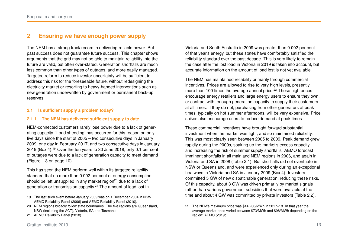# <span id="page-12-0"></span>**2 Ensuring we have enough power supply**

The NEM has a strong track record in delivering reliable power. But past success does not guarantee future success. This chapter shows arguments that the grid may not be able to maintain reliability into the future are valid, but often over-stated. Generation shortfalls are much less common than other types of outages, and more easily managed. Targeted reform to reduce investor uncertainty will be sufficient to address this risk for the foreseeable future, without redesigning the electricity market or resorting to heavy-handed interventions such as new generation underwritten by government or permanent back-up reserves.

# **2.1 Is sufficient supply a problem today?**

#### **2.1.1 The NEM has delivered sufficient supply to date**

NEM-connected customers rarely lose power due to a lack of generating capacity. 'Load shedding' has occurred for this reason on only five days since the start of 2005 – two consecutive days in January 2009, one day in February 2017, and two consecutive days in January 2019 (Box [4\)](#page-13-0).[19](#page-12-1) Over the ten years to 30 June 2018, only 0.1 per cent of outages were due to a lack of generation capacity to meet demand (Figure [1.3](#page-9-0) on page [10\)](#page-9-0).

This has seen the NEM perform well within its targeted reliability standard that no more than 0.002 per cent of energy consumption should be left unsupplied in any market region<sup>[20](#page-12-2)</sup> due to a lack of generation or transmission capacity.[21](#page-12-3) The amount of load lost in

Victoria and South Australia in 2009 was greater than 0.002 per cent of that year's energy, but these states have comfortably satisfied the reliability standard over the past decade. This is very likely to remain the case after the lost load in Victoria in 2019 is taken into account, but accurate information on the amount of load lost is not yet available.

The NEM has maintained reliability primarily through commercial incentives. Prices are allowed to rise to very high levels, presently more than 100 times the average annual price.<sup>[22](#page-12-4)</sup> These high prices encourage energy retailers and large energy users to ensure they own, or contract with, enough generation capacity to supply their customers at all times. If they do not, purchasing from other generators at peak times, typically on hot summer afternoons, will be very expensive. Price spikes also encourage users to reduce demand at peak times.

These commercial incentives have brought forward substantial investment when the market was tight, and so maintained reliability. This was most clearly seen between 2005 to 2009. Peak demand grew rapidly during the 2000s, soaking up the market's excess capacity and increasing the risk of summer supply shortfalls. AEMO forecast imminent shortfalls in all mainland NEM regions in 2006, and again in Victoria and SA in 2008 (Table [2.1\)](#page-14-0). But shortfalls did not eventuate in NSW or Queensland, and were experienced only during an exceptional heatwave in Victoria and SA in January 2009 (Box [4\)](#page-13-0). Investors committed 5 GW of new dispatchable generation, reducing these risks. Of this capacity, about 3 GW was driven primarily by market signals rather than various government subsidies that were available at the time and about 4 GW was committed by private investors (Table [2.2\)](#page-14-1).

<span id="page-12-1"></span><sup>19.</sup> The last such event before January 2009 was on 1 December 2004 in NSW: [AEMC Reliability Panel \(2006\)](#page-48-2) and [AEMC Reliability Panel \(2010\).](#page-48-3)

<span id="page-12-2"></span><sup>20.</sup> NEM regions broadly follow state boundaries. The five regions are Queensland, NSW (including the ACT), Victoria, SA and Tasmania.

<span id="page-12-3"></span><sup>21.</sup> [AEMC Reliability Panel \(2018\).](#page-49-3)

<span id="page-12-4"></span><sup>22.</sup> The NEM's maximum price was \$14,200/MWh in 2017–18. In that year the average market price varied between \$73/MWh and \$98/MWh depending on the region: [AEMO \(2019c\).](#page-50-4)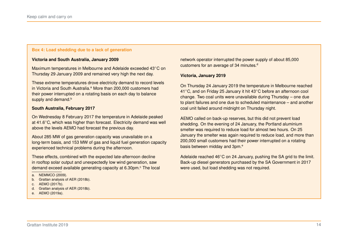#### <span id="page-13-0"></span>**Box 4: Load shedding due to a lack of generation**

#### **Victoria and South Australia, January 2009**

Maximum temperatures in Melbourne and Adelaide exceeded 43∘C on Thursday 29 January 2009 and remained very high the next day.

These extreme temperatures drove electricity demand to record levels in Victori[a](#page-13-1) and South Australia.<sup>a</sup> More than 200,000 customers had their power interrupted on a rotating basis on each day to balance supply and demand.<sup>[b](#page-13-2)</sup>

#### **South Australia, February 2017**

On Wednesday 8 February 2017 the temperature in Adelaide peaked at 41.6∘C, which was higher than forecast. Electricity demand was well above the levels AEMO had forecast the previous day.

About 285 MW of gas generation capacity was unavailable on a long-term basis, and 153 MW of gas and liquid fuel generation capacity experienced technical problems during the afternoon.

These effects, combined with the expected late-afternoon decline in rooftop solar output and unexpectedly low wind generation, saw demand ex[c](#page-13-3)eed available generating capacity at 6.30pm.<sup>c</sup> The local

- <span id="page-13-2"></span>b. Grattan analysis of [AER \(2018b\).](#page-51-1)
- <span id="page-13-3"></span>c. [AEMO \(2017b\).](#page-49-2)
- <span id="page-13-4"></span>d. Grattan analysis of [AER \(2018b\).](#page-51-1)
- <span id="page-13-5"></span>e. [AEMO \(2019a\).](#page-50-1)

network operator interrupted the power supply of about 85,000 customers for an average of 34 minutes.<sup>[d](#page-13-4)</sup>

#### **Victoria, January 2019**

On Thursday 24 January 2019 the temperature in Melbourne reached 41∘C, and on Friday 25 January it hit 43∘C before an afternoon cool change. Two coal units were unavailable during Thursday – one due to plant failures and one due to scheduled maintenance – and another coal unit failed around midnight on Thursday night.

AEMO called on back-up reserves, but this did not prevent load shedding. On the evening of 24 January, the Portland aluminium smelter was required to reduce load for almost two hours. On 25 January the smelter was again required to reduce load, and more than 200,000 small customers had their power interrupted on a rotating basis b[e](#page-13-5)tween midday and 3pm.<sup>e</sup>

Adelaide reached 46∘C on 24 January, pushing the SA grid to the limit. Back-up diesel generators purchased by the SA Government in 2017 were used, but load shedding was not required.

<span id="page-13-1"></span>a. [NEMMCO \(2009\).](#page-52-3)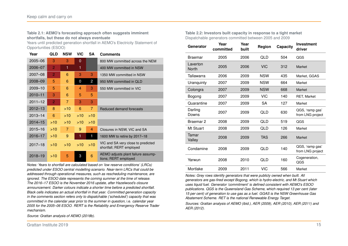#### <span id="page-14-0"></span>**Table 2.1: AEMO's forecasting approach often suggests imminent shortfalls, but these do not always eventuate**

Years until predicted generation shortfall in AEMO's Electricity Statement of Opportunities (ESOO)

| Year        | QLD            | <b>NSW</b>     | VIC         | SΑ  | <b>Comments</b>                                                |
|-------------|----------------|----------------|-------------|-----|----------------------------------------------------------------|
| $2005 - 06$ | 3              | 3              | $\mathbf 0$ |     | 800 MW committed across the NEM                                |
| 2006-07     | $\overline{2}$ | 1              | 1           |     | 400 MW committed in NSW                                        |
| $2007 - 08$ | $\overline{2}$ | 6              | 3           | 3   | 1350 MW committed in NSW                                       |
| 2008-09     | 5              | 6              | 0           | 2   | 950 MW committed in QLD                                        |
| $2009 - 10$ | 5              | 6              | 4           | 3   | 550 MW committed in VIC                                        |
| $2010 - 11$ | 3              | 6              | 5           | 5   |                                                                |
| $2011 - 12$ | $\overline{2}$ | $\overline{7}$ | 3           | 3   |                                                                |
| $2012 - 13$ | 8              | >10            | 6           | 7   | Reduced demand forecasts                                       |
| $2013 - 14$ | 6              | >10            | >10         | >10 |                                                                |
| $2014 - 15$ | $>10$          | $>10$          | >10         | >10 |                                                                |
| $2015 - 16$ | >10            | 7              | 9           | 4   | Closures in NSW, VIC and SA                                    |
| $2016 - 17$ | >10            | 9              | 1           | 1   | 1600 MW to retire by 2017-18                                   |
| $2017 - 18$ | >10            | >10            | >10         | >10 | VIC and SA very close to predicted<br>shortfall; RERT employed |
| $2018 - 19$ | >10            | 5              | 3           | 6   | AEMO adjusts plant failure assump-<br>tions; RERT employed     |

*Notes: Years to shortfall are calculated based on 'low reserve conditions' (LRCs) predicted under ESOO central modelling scenario. Near-term LRCs that could be addressed through operational measures, such as rescheduling maintenance, are ignored. The ESOO date represents the coming summer at the time of release. The 2016–17 ESOO is the November 2016 update, after Hazelwood's closure announcement. Darker colours indicate a shorter time before a predicted shortfall. Black cells indicates an actual shortfall in that year. Committed generation capacity in the comments section refers only to dispatchable ('scheduled') capacity that was committed in the calendar year prior to the summer in question,* i.e. *calendar year 2005 for the 2005–06 ESOO. RERT is the Reliability and Emergency Reserve Trader mechanism.*

*Source: Grattan analysis of [AEMO \(2018b\).](#page-49-5)*

<span id="page-14-1"></span>**Table 2.2: Investors built capacity in response to a tight market** Dispatchable generators committed between 2005 and 2009

| Generator                | Year<br>committed | Year<br>built | Region     | Capacity | <b>Investment</b><br>driver         |
|--------------------------|-------------------|---------------|------------|----------|-------------------------------------|
| Braemar                  | 2005              | 2006          | QLD        | 504      | QGS                                 |
| Laverton<br><b>North</b> | 2005              | 2006          | <b>VIC</b> | 312      | <b>Market</b>                       |
| Tallawarra               | 2006              | 2009          | <b>NSW</b> | 435      | Market, GGAS                        |
| Uranquinty               | 2007              | 2009          | <b>NSW</b> | 664      | Market                              |
| Colongra                 | 2007              | 2009          | <b>NSW</b> | 668      | Market                              |
| Bogong                   | 2007              | 2009          | <b>VIC</b> | 140      | <b>RET, Market</b>                  |
| Quarantine               | 2007              | 2009          | <b>SA</b>  | 127      | Market                              |
| Darling<br>Downs         | 2007              | 2009          | QLD        | 630      | QGS, 'ramp gas'<br>from LNG project |
| Braemar 2                | 2008              | 2009          | QLD        | 519      | QGS                                 |
| Mt Stuart                | 2008              | 2009          | <b>QLD</b> | 126      | Market                              |
| Tamar<br>Valley          | 2008              | 2009          | <b>TAS</b> | 266      | Market                              |
| Condamine                | 2008              | 2009          | QLD        | 140      | QGS, 'ramp gas'<br>from LNG project |
| Yarwun                   | 2008              | 2010          | <b>QLD</b> | 160      | Cogeneration,<br>QGS                |
| Mortlake                 | 2009              | 2011          | <b>VIC</b> | 566      | Market                              |

*Notes: Grey rows identify generators that were publicly owned when built. All generators are gas-fired except Bogong, which is hydro-electric, and Mt Stuart which uses liquid fuel. Generator 'commitment' is defined consistent with AEMO's ESOO publications. QGS is the Queensland Gas Scheme, which required 13 per cent (later 15 per cent) of generation to use gas as a fuel. GGAS is the NSW Greenhouse Gas Abatement Scheme. RET is the national Renewable Energy Target.*

*Sources: Grattan analysis of [AEMO \(ibid.\),](#page-49-5) [AER \(2009\),](#page-50-5) [AER \(2010\),](#page-50-6) [AER \(2011\)](#page-50-7) and [AER \(2012\).](#page-50-8)*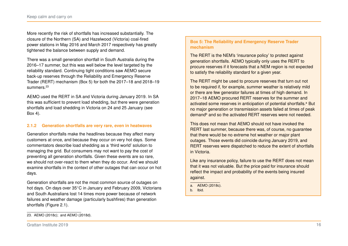More recently the risk of shortfalls has increased substantially. The closure of the Northern (SA) and Hazelwood (Victoria) coal-fired power stations in May 2016 and March 2017 respectively has greatly tightened the balance between supply and demand.

There was a small generation shortfall in South Australia during the 2016–17 summer, but this was well below the level targeted by the reliability standard. Continuing tight conditions saw AEMO secure back-up reserves through the Reliability and Emergency Reserve Trader (RERT) mechanism (Box [5\)](#page-15-0) for both the 2017–18 and 2018–19 summers.<sup>[23](#page-15-1)</sup>

AEMO used the RERT in SA and Victoria during January 2019. In SA this was sufficient to prevent load shedding, but there were generation shortfalls and load shedding in Victoria on 24 and 25 January (see Box [4\)](#page-13-0).

# **2.1.2 Generation shortfalls are very rare, even in heatwaves**

Generation shortfalls make the headlines because they affect many customers at once, and because they occur on very hot days. Some commentators describe load shedding as a 'third world' solution to managing the grid. But consumers may not want to pay the cost of preventing all generation shortfalls. Given these events are so rare, we should not over-react to them when they do occur. And we should examine shortfalls in the context of other outages that can occur on hot days.

Generation shortfalls are not the most common source of outages on hot days. On days over 35∘C in January and February 2009, Victorians and South Australians lost 14 times more power because of network failures and weather damage (particularly bushfires) than generation shortfalls (Figure [2.1\)](#page-16-0).

# <span id="page-15-0"></span>**Box 5: The Reliability and Emergency Reserve Trader mechanism**

The RERT is the NEM's 'insurance policy' to protect against generation shortfalls. AEMO typically only uses the RERT to procure reserves if it forecasts that a NEM region is not expected to satisfy the reliability standard for a given year.

The RERT might be used to procure reserves that turn out not to be required if, for example, summer weather is relatively mild or there are few generator failures at times of high demand. In 2017–18 AEMO procured RERT reserves for the summer and [a](#page-15-2)ctivated some reserves in anticipation of potential shortfalls.<sup>a</sup> But no major generation or transmission assets failed at times of peak demand<sup>[b](#page-15-3)</sup> and so the activated RERT reserves were not needed.

This does not mean that AEMO should not have invoked the RERT last summer, because there was, of course, no guarantee that there would be no extreme hot weather or major plant outages. Those events did coincide during January 2019, and RERT reserves were dispatched to reduce the extent of shortfalls in Victoria.

Like any insurance policy, failure to use the RERT does not mean that it was not valuable. But the price paid for insurance should reflect the impact and probability of the events being insured against.

- <span id="page-15-2"></span>a. [AEMO \(2018c\).](#page-49-6)
- <span id="page-15-3"></span>b. Ibid.

<span id="page-15-1"></span><sup>23.</sup> [AEMO \(2018c\);](#page-49-6) and [AEMO \(2018d\).](#page-49-7)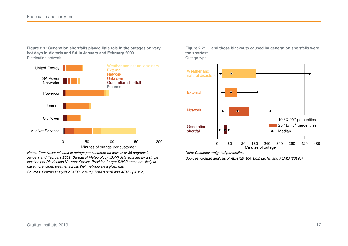<span id="page-16-0"></span>**Figure 2.1: Generation shortfalls played little role in the outages on very hot days in Victoria and SA in January and February 2009 . . .** Distribution network



*Notes: Cumulative minutes of outage per customer on days over 35 degrees in January and February 2009. Bureau of Meteorology (BoM) data sourced for a single location per Distribution Network Service Provider. Larger DNSP areas are likely to have more varied weather across their network on a given day.*

*Sources: Grattan analysis of [AER \(2018b\),](#page-51-1) [BoM \(2018\)](#page-51-3) and [AEMO \(2019b\).](#page-50-2)*

**Figure 2.2: . . . and those blackouts caused by generation shortfalls were the shortest**

Outage type



*Note: Customer-weighted percentiles.*

*Sources: Grattan analysis of [AER \(2018b\),](#page-51-1) [BoM \(2018\)](#page-51-3) and [AEMO \(2019b\).](#page-50-2)*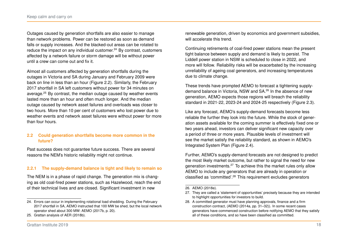Outages caused by generation shortfalls are also easier to manage than network problems. Power can be restored as soon as demand falls or supply increases. And the blacked-out areas can be rotated to reduce the impact on any individual customer. $24$  By contrast, customers affected by a network failure or storm damage will be without power until a crew can come out and fix it.

Almost all customers affected by generation shortfalls during the outages in Victoria and SA during January and February 2009 were back on line in less than an hour (Figure [2.2\)](#page-16-0). Similarly, the February 2017 shortfall in SA left customers without power for 34 minutes on average.[25](#page-17-1) By contrast, the median outage caused by weather events lasted more than an hour and often much longer. And the median outage caused by network asset failures and overloads was closer to two hours. More than 10 per cent of customers who lost power due to weather events and network asset failures were without power for more than four hours.

# **2.2 Could generation shortfalls become more common in the future?**

Past success does not quarantee future success. There are several reasons the NEM's historic reliability might not continue.

# **2.2.1 The supply-demand balance is tight and likely to remain so**

The NEM is in a phase of rapid change. The generation mix is changing as old coal-fired power stations, such as Hazelwood, reach the end of their technical lives and are closed. Significant investment in new

These trends have prompted AEMO to forecast a tightening supply-

will accelerate this trend.

due to climate change.

demand balance in Victoria, NSW and SA.[26](#page-17-2) In the absence of new generation, AEMO expects those regions will breach the reliability standard in 2021-22, 2023-24 and 2024-25 respectively (Figure [2.3\)](#page-19-0).

renewable generation, driven by economics and government subsidies,

Continuing retirements of coal-fired power stations mean the present tight balance between supply and demand is likely to persist. The Liddell power station in NSW is scheduled to close in 2022, and more will follow. Reliability risks will be exacerbated by the increasing unreliability of ageing coal generators, and increasing temperatures

Like any forecast, AEMO's supply-demand forecasts become less reliable the further they look into the future. While the stock of generation assets available for the coming summer is effectively fixed one or two years ahead, investors can deliver significant new capacity over a period of three or more years. Plausible levels of investment will see the market satisfy the reliability standard, as shown in AEMO's Integrated System Plan (Figure [2.4\)](#page-19-0).

Further, AEMO's supply-demand forecasts are not designed to predict the most likely market outcome, but rather to signal the need for new generation investments.[27](#page-17-3) To achieve this the market rules only allow AEMO to include any generators that are already in operation or classified as 'committed'.[28](#page-17-4) This requirement excludes generators

<span id="page-17-0"></span><sup>24.</sup> Errors can occur in implementing rotational load shedding. During the February 2017 shortfall in SA, AEMO instructed that 100 MW be shed, but the local network operator shed about 300 MW: AEMO [\(2017b,](#page-49-2) p. 20).

<span id="page-17-1"></span><sup>25.</sup> Grattan analysis of [AER \(2018b\).](#page-51-1)

<span id="page-17-2"></span><sup>26.</sup> [AEMO \(2018e\).](#page-49-8)

<span id="page-17-3"></span><sup>27.</sup> They are called a 'statement of opportunities' precisely because they are intended to highlight opportunities for investors to build.

<span id="page-17-4"></span><sup>28.</sup> A committed generator must have planning approvals, finance and a firm construction contract, (AEMO [\(2014a,](#page-49-9) pp. 31–32)). In some recent cases generators have commenced construction before notifying AEMO that they satisfy all of these conditions, and so have been classified as committed.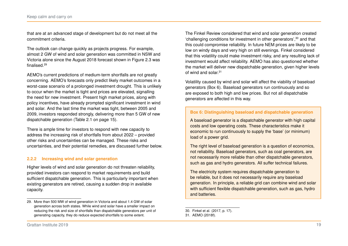that are at an advanced stage of development but do not meet all the commitment criteria.

The outlook can change quickly as projects progress. For example, almost 2 GW of wind and solar generation was committed in NSW and Victoria alone since the August 2018 forecast shown in Figure [2.3](#page-19-0) was finalised<sup>[29](#page-18-0)</sup>

AEMO's current predictions of medium-term shortfalls are not greatly concerning. AEMO's forecasts only predict likely market outcomes in a worst-case scenario of a prolonged investment drought. This is unlikely to occur when the market is tight and prices are elevated, signalling the need for new investment. Present high market prices, along with policy incentives, have already prompted significant investment in wind and solar. And the last time the market was tight, between 2005 and 2009, investors responded strongly, delivering more than 5 GW of new dispatchable generation (Table [2.1](#page-14-0) on page [15\)](#page-14-0).

There is ample time for investors to respond with new capacity to address the increasing risk of shortfalls from about 2022 – provided other risks and uncertainties can be managed. These risks and uncertainties, and their potential remedies, are discussed further below.

# **2.2.2 Increasing wind and solar generation**

Higher levels of wind and solar generation do not threaten reliability, provided investors can respond to market requirements and build sufficient dispatchable generation. This is particularly important when existing generators are retired, causing a sudden drop in available capacity.

The Finkel Review considered that wind and solar generation created 'challenging conditions for investment in other generators',[30](#page-18-1) and that this could compromise reliability. In future NEM prices are likely to be low on windy days and very high on still evenings. Finkel considered that this volatility could make investment risky, and any resulting lack of investment would affect reliability. AEMO has also questioned whether the market will deliver new dispatchable generation, given higher levels of wind and solar  $31$ 

Volatility caused by wind and solar will affect the viability of baseload generators (Box [6\)](#page-18-3). Baseload generators run continuously and so are exposed to both high and low prices. But not all dispatchable generators are affected in this way.

# <span id="page-18-3"></span>**Box 6: Distinguishing baseload and dispatchable generation**

A baseload generator is a dispatchable generator with high capital costs and low operating costs. These characteristics make it economic to run continuously to supply the 'base' (or minimum) load of a power grid.

The right level of baseload generation is a question of economics, not reliability. Baseload generators, such as coal generators, are not necessarily more reliable than other dispatchable generators, such as gas and hydro generators. All suffer technical failures.

The electricity system requires dispatchable generation to be reliable, but it does not necessarily require any baseload generation. In principle, a reliable grid can combine wind and solar with sufficient flexible dispatchable generation, such as gas, hydro and batteries.

<span id="page-18-0"></span><sup>29.</sup> More than 500 MW of wind generation in Victoria and about 1.4 GW of solar generation across both states. While wind and solar have a smaller impact on reducing the risk and size of shortfalls than dispatchable generators per unit of generating capacity, they do reduce expected shortfalls to some extent.

<span id="page-18-1"></span><sup>30.</sup> Finkel et al. [\(2017,](#page-52-0) p. 17).

<span id="page-18-2"></span><sup>31.</sup> [AEMO \(2018f\).](#page-50-9)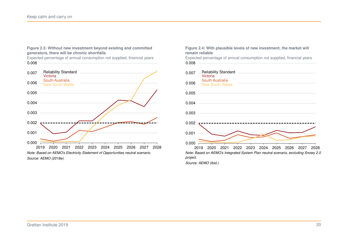#### <span id="page-19-0"></span>**Figure 2.3: Without new investment beyond existing and committed generators, there will be chronic shortfalls**

Expected percentage of annual consumption not supplied, financial years 0.008



#### **Figure 2.4: With plausible levels of new investment, the market will remain reliable**

Expected percentage of annual consumption not supplied, financial years 0.008



*Source: [AEMO \(ibid.\).](#page-49-8)*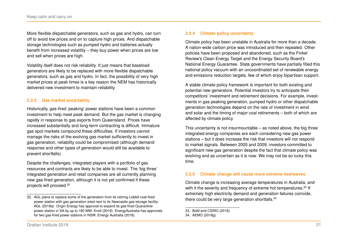More flexible dispatchable generators, such as gas and hydro, can turn off to avoid low prices and on to capture high prices. And dispatchable storage technologies such as pumped hydro and batteries actually benefit from increased volatility – they buy power when prices are low and sell when prices are high.

Volatility itself does not risk reliability. It just means that baseload generators are likely to be replaced with more flexible dispatchable generators, such as gas and hydro. In fact, the possibility of very high market prices at peak times is a key reason the NEM has historically delivered new investment to maintain reliability.

#### **2.2.3 Gas market uncertainty**

Historically, gas-fired 'peaking' power stations have been a common investment to help meet peak demand. But the gas market is changing rapidly in response to gas exports from Queensland. Prices have increased substantially and long-term contracting is difficult. Immature gas spot markets compound these difficulties. If investors cannot manage the risks of the evolving gas market sufficiently to invest in gas generation, reliability could be compromised (although demand response and other types of generation would still be available to prevent shortfalls).

Despite the challenges, integrated players with a portfolio of gas resources and contracts are likely to be able to invest. The 'big three' integrated generation and retail companies are all currently planning new gas-fired generation, although it is not yet confirmed if these projects will proceed.[32](#page-20-0)

#### **2.2.4 Climate policy uncertainty**

Climate policy has been unstable in Australia for more than a decade. A nation-wide carbon price was introduced and then repealed. Other policies have been proposed and abandoned, such as the Finkel Review's Clean Energy Target and the Energy Security Board's National Energy Guarantee. State governments have partially filled this national policy vacuum with an uncoordinated set of renewable energy and emissions reduction targets, few of which enjoy bipartisan support.

A stable climate policy framework is important for both existing and potential new generators. Potential investors try to anticipate their competitors' investment and retirement decisions. For example, investments in gas peaking generation, pumped hydro or other dispatchable generation technologies depend on the rate of investment in wind and solar and the timing of major coal retirements – both of which are affected by climate policy.

This uncertainty is not insurmountable – as noted above, the big three integrated energy companies are each considering new gas power stations – but it does increase the risk that investors will not respond to market signals. Between 2005 and 2009, investors committed to significant new gas generation despite the fact that climate policy was evolving and as uncertain as it is now. We may not be so lucky this time.

#### **2.2.5 Climate change will cause more extreme heatwaves**

Climate change is increasing average temperatures in Australia, and with it the severity and frequency of extreme hot temperatures.<sup>[33](#page-20-1)</sup> If extremely high electricity demand and generation failures coincide, there could be very large generation shortfalls.<sup>[34](#page-20-2)</sup>

<span id="page-20-0"></span><sup>32.</sup> AGL plans to replace some of the generation from its retiring Liddell coal-fired power station with gas generation sited next to its Newcastle gas storage facility: [AGL \(2018a\).](#page-51-4) Origin Energy has approval to expand its gas-fired Quarantine power station in SA by up to 180 MW: [Knoll \(2018\).](#page-52-4) EnergyAustralia has approvals for two gas-fired power stations in NSW: [Energy Australia \(2018\).](#page-52-5)

<span id="page-20-1"></span><sup>33.</sup> [BoM and CSIRO \(2018\).](#page-51-5)

<span id="page-20-2"></span><sup>34.</sup> [AEMO \(2018g\).](#page-50-10)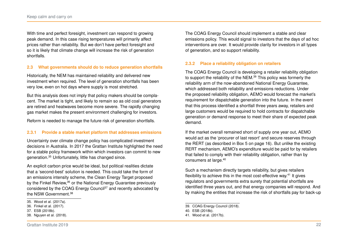With time and perfect foresight, investment can respond to growing peak demand. In this case rising temperatures will primarily affect prices rather than reliability. But we don't have perfect foresight and so it is likely that climate change will increase the risk of generation shortfalls.

# **2.3 What governments should do to reduce generation shortfalls**

Historically, the NEM has maintained reliability and delivered new investment when required. The level of generation shortfalls has been very low, even on hot days where supply is most stretched.

But this analysis does not imply that policy makers should be complacent. The market is tight, and likely to remain so as old coal generators are retired and heatwaves become more severe. The rapidly changing gas market makes the present environment challenging for investors.

Reform is needed to manage the future risk of generation shortfalls.

# **2.3.1 Provide a stable market platform that addresses emissions**

Uncertainty over climate change policy has complicated investment decisions in Australia. In 2017 the Grattan Institute highlighted the need for a stable policy framework within which investors can commit to new generation.[35](#page-21-0) Unfortunately, little has changed since.

An explicit carbon price would be ideal, but political realities dictate that a 'second-best' solution is needed. This could take the form of an emissions intensity scheme, the Clean Energy Target proposed by the Finkel Review.<sup>[36](#page-21-1)</sup> or the National Energy Guarantee previously considered by the COAG Energy Council<sup>[37](#page-21-2)</sup> and recently advocated by the NSW Government.[38](#page-21-3)

<span id="page-21-1"></span>36. [Finkel et al. \(2017\).](#page-52-0)

<span id="page-21-3"></span>38. [Nguyen et al. \(2018\).](#page-52-7)

The COAG Energy Council should implement a stable and clear emissions policy. This would signal to investors that the days of ad hoc interventions are over. It would provide clarity for investors in all types of generation, and so support reliability.

# **2.3.2 Place a reliability obligation on retailers**

The COAG Energy Council is developing a retailer reliability obligation to support the reliability of the NEM.<sup>[39](#page-21-4)</sup> This policy was formerly the reliability arm of the now-abandoned National Energy Guarantee, which addressed both reliability and emissions reductions. Under the proposed reliability obligation, AEMO would forecast the market's requirement for dispatchable generation into the future. In the event that this process identified a shortfall three years away, retailers and large customers would be required to hold contracts for dispatchable generation or demand response to meet their share of expected peak demand.

If the market overall remained short of supply one year out, AEMO would act as the 'procurer of last resort' and secure reserves through the RERT (as described in Box [5](#page-15-0) on page [16\)](#page-15-0). But unlike the existing RERT mechanism, AEMO's expenditure would be paid for by retailers that failed to comply with their reliability obligation, rather than by consumers at large.<sup>[40](#page-21-5)</sup>

Such a mechanism directly targets reliability, but gives retailers flexibility to achieve this in the most cost-effective way.[41](#page-21-6) It gives regulators and governments extra surety that potential shortfalls are identified three years out, and that energy companies will respond. And by making the entities that increase the risk of shortfalls pay for back-up

<span id="page-21-0"></span><sup>35.</sup> [Wood et al. \(2017a\).](#page-53-2)

<span id="page-21-2"></span><sup>37.</sup> [ESB \(2018b\).](#page-52-6)

<span id="page-21-4"></span><sup>39.</sup> [COAG Energy Council \(2018\).](#page-51-6)

<span id="page-21-5"></span><sup>40.</sup> [ESB \(2018b\).](#page-52-6)

<span id="page-21-6"></span><sup>41.</sup> [Wood et al. \(2017b\).](#page-53-3)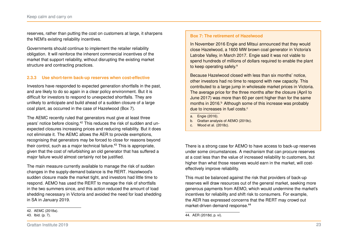reserves, rather than putting the cost on customers at large, it sharpens the NEM's existing reliability incentives.

Governments should continue to implement the retailer reliability obligation. It will reinforce the inherent commercial incentives of the market that support reliability, without disrupting the existing market structure and contracting practices.

# **2.3.3 Use short-term back-up reserves when cost-effective**

Investors have responded to expected generation shortfalls in the past, and are likely to do so again in a clear policy environment. But it is difficult for investors to respond to unexpected shortfalls. They are unlikely to anticipate and build ahead of a sudden closure of a large coal plant, as occurred in the case of Hazelwood (Box [7\)](#page-22-0).

The AEMC recently ruled that generators must give at least three years' notice before closing.<sup>[42](#page-22-1)</sup> This reduces the risk of sudden and unexpected closures increasing prices and reducing reliability. But it does not eliminate it. The AEMC allows the AER to provide exemptions, recognising that generators may be forced to close for reasons beyond their control, such as a major technical failure.<sup>[43](#page-22-2)</sup> This is appropriate, given that the cost of refurbishing an old generator that has suffered a major failure would almost certainly not be justified.

The main measure currently available to manage the risk of sudden changes in the supply-demand balance is the RERT. Hazelwood's sudden closure made the market tight, and investors had little time to respond. AEMO has used the RERT to manage the risk of shortfalls in the two summers since, and this action reduced the amount of load shedding necessary in Victoria and avoided the need for load shedding in SA in January 2019.

<span id="page-22-0"></span>In November 2016 Engie and Mitsui announced that they would close Hazelwood, a 1600 MW brown coal generator in Victoria's Latrobe Valley, in March 2017. Engie said it was not viable to spend hundreds of millions of dollars required to enable the plant to keep oper[a](#page-22-3)ting safely.<sup>a</sup>

Because Hazelwood closed with less than six months' notice, other investors had no time to respond with new capacity. This contributed to a large jump in wholesale market prices in Victoria. The average price for the three months after the closure (April to June 2017) was more than 60 per cent higher than for the same months in 2016.<sup>[b](#page-22-4)</sup> Although some of this increase was probably due to in[c](#page-22-5)reases in fuel costs.<sup>c</sup>

- <span id="page-22-3"></span>a. [Engie \(2016\).](#page-52-8)
- <span id="page-22-4"></span>b. Grattan analysis of [AEMO \(2019c\).](#page-50-4)
- <span id="page-22-5"></span>c. [Wood et al. \(2018c\).](#page-53-4)

There is a strong case for AEMO to have access to back-up reserves under some circumstances. A mechanism that can procure reserves at a cost less than the value of increased reliability to customers, but higher than what those reserves would earn in the market, will costeffectively improve reliability.

This must be balanced against the risk that providers of back-up reserves will draw resources out of the general market, seeking more generous payments from AEMO, which would undermine the market's incentives for reliability and shift risk to consumers. For example, the AER has expressed concerns that the RERT may crowd out market-driven demand response.[44](#page-22-6)

<span id="page-22-1"></span><sup>42.</sup> [AEMC \(2018a\).](#page-48-4)

<span id="page-22-2"></span><sup>43.</sup> Ibid. (p. 7).

<span id="page-22-6"></span><sup>44.</sup> AER [\(2018d,](#page-51-7) p. vi).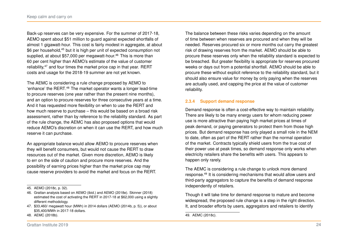Back-up reserves can be very expensive. For the summer of 2017-18, AEMO spent about \$51 million to guard against expected shortfalls of almost 1 gigawatt-hour. This cost is fairly modest in aggregate, at about \$6 per household,<sup>[45](#page-23-0)</sup> but it is high per unit of expected consumption not supplied, at about \$57,000 per megawatt-hour.<sup>[46](#page-23-1)</sup> This is more than 60 per cent higher than AEMO's estimate of the value of customer reliability,<sup>[47](#page-23-2)</sup> and four times the market price cap in that year. RERT costs and usage for the 2018-19 summer are not yet known.

The AEMC is considering a rule change proposed by AEMO to 'enhance' the RERT.[48](#page-23-3) The market operator wants a longer lead-time to procure reserves (one year rather than the present nine months), and an option to procure reserves for three consecutive years at a time. And it has requested more flexibility on when to use the RERT and how much reserve to purchase – this would be based on a broad risk assessment, rather than by reference to the reliability standard. As part of the rule change, the AEMC has also proposed options that would reduce AEMO's discretion on when it can use the RERT, and how much reserve it can purchase.

An appropriate balance would allow AEMO to procure reserves when they will benefit consumers, but would not cause the RERT to draw resources out of the market. Given more discretion, AEMO is likely to err on the side of caution and procure more reserves. And the possibility of earning prices higher than the market price cap may cause reserve providers to avoid the market and focus on the RERT.

<span id="page-23-3"></span>48. [AEMC \(2018b\).](#page-48-5)

The balance between these risks varies depending on the amount of time between when reserves are procured and when they will be needed. Reserves procured six or more months out carry the greatest risk of drawing reserves from the market. AEMO should be able to procure these reserves only when the reliability standard is expected to be breached. But greater flexibility is appropriate for reserves procured weeks or days out from a potential shortfall. AEMO should be able to procure these without explicit reference to the reliability standard, but it should also ensure value for money by only paying when the reserves are actually used, and capping the price at the value of customer reliability.

# **2.3.4 Support demand response**

Demand response is often a cost-effective way to maintain reliability. There are likely to be many energy users for whom reducing power use is more attractive than paying high market prices at times of peak demand, or paying generators to protect them from those high prices. But demand response has only played a small role in the NEM to date, often as part of the RERT rather than the normal operation of the market. Contracts typically shield users from the true cost of their power use at peak times, so demand response only works when electricity retailers share the benefits with users. This appears to happen only rarely.

The AEMC is considering a rule change to unlock more demand response.[49](#page-23-4) It is considering mechanisms that would allow users and third-party aggregators to capture the benefits of demand response independently of retailers.

Though it will take time for demand response to mature and become widespread, the proposed rule change is a step in the right direction. It, and broader efforts by users, aggregators and retailers to identify

<span id="page-23-0"></span><sup>45.</sup> AEMO [\(2018c,](#page-49-6) p. 32).

<span id="page-23-1"></span><sup>46.</sup> Grattan analysis based on [AEMO \(ibid.\)](#page-49-6) and [AEMO \(2018e\).](#page-49-8) [Skinner \(2018\)](#page-53-5) estimated the cost of activating the RERT in 2017-18 at \$62,000 using a slightly different methodology.

<span id="page-23-2"></span><sup>47. \$33,460/</sup> megawatt hour (MWh) in 2014 dollars (AEMO [\(2014b,](#page-49-10) p. 5)), or about \$35,400/MWh in 2017-18 dollars.

<span id="page-23-4"></span><sup>49.</sup> [AEMC \(2018c\).](#page-48-6)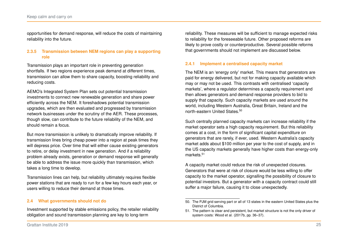opportunities for demand response, will reduce the costs of maintaining reliability into the future.

# **2.3.5 Transmission between NEM regions can play a supporting role**

Transmission plays an important role in preventing generation shortfalls. If two regions experience peak demand at different times, transmission can allow them to share capacity, boosting reliability and reducing costs.

AEMO's Integrated System Plan sets out potential transmission investments to connect new renewable generation and share power efficiently across the NEM. It foreshadows potential transmission upgrades, which are then evaluated and progressed by transmission network businesses under the scrutiny of the AER. These processes, though slow, can contribute to the future reliability of the NEM, and should remain a focus.

But more transmission is unlikely to dramatically improve reliability. If transmission lines bring cheap power into a region at peak times they will depress price. Over time that will either cause existing generators to retire, or delay investment in new generation. And if a reliability problem already exists, generation or demand response will generally be able to address the issue more quickly than transmission, which takes a long time to develop.

Transmission lines can help, but reliability ultimately requires flexible power stations that are ready to run for a few key hours each year, or users willing to reduce their demand at those times.

# **2.4 What governments should not do**

Investment supported by stable emissions policy, the retailer reliability obligation and sound transmission planning are key to long-term

reliability. These measures will be sufficient to manage expected risks to reliability for the foreseeable future. Other proposed reforms are likely to prove costly or counterproductive. Several possible reforms that governments should not implement are discussed below.

#### **2.4.1 Implement a centralised capacity market**

The NEM is an 'energy only' market. This means that generators are paid for energy delivered, but not for making capacity available which may or may not be used. This contrasts with centralised 'capacity markets', where a regulator determines a capacity requirement and then allows generators and demand response providers to bid to supply that capacity. Such capacity markets are used around the world, including Western Australia, Great Britain, Ireland and the north-eastern United States.<sup>[50](#page-24-0)</sup>

Such centrally planned capacity markets can increase reliability if the market operator sets a high capacity requirement. But this reliability comes at a cost, in the form of significant capital expenditure on generators that are rarely, if ever, used. Western Australia's capacity market adds about \$100 million per year to the cost of supply, and in the US capacity markets generally have higher costs than energy-only markets<sup>[51](#page-24-1)</sup>

A capacity market could reduce the risk of unexpected closures. Generators that were at risk of closure would be less willing to offer capacity to the market operator, signalling the possibility of closure to potential investors. But a generator with a capacity contract could still suffer a major failure, causing it to close unexpectedly.

<span id="page-24-0"></span><sup>50.</sup> The PJM grid serving part or all of 13 states in the eastern United States plus the District of Columbia.

<span id="page-24-1"></span><sup>51.</sup> The pattern is clear and persistent, but market structure is not the only driver of system costs: Wood et al. [\(2017b,](#page-53-3) pp. 36–37).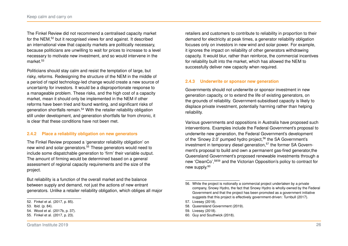The Finkel Review did not recommend a centralised capacity market for the NEM,[52](#page-25-0) but it recognised views for and against. It described an international view that capacity markets are politically necessary, because politicians are unwilling to wait for prices to increase to a level necessary to motivate new investment, and so would intervene in the market.[53](#page-25-1)

Politicians should stay calm and resist the temptation of large, but risky, reforms. Redesigning the structure of the NEM in the middle of a period of rapid technology-led change would create a new source of uncertainty for investors. It would be a disproportionate response to a manageable problem. These risks, and the high cost of a capacity market, mean it should only be implemented in the NEM if other reforms have been tried and found wanting, and significant risks of generation shortfalls remain.[54](#page-25-2) With the retailer reliability obligation still under development, and generation shortfalls far from chronic, it is clear that these conditions have not been met.

# **2.4.2 Place a reliability obligation on new generators**

The Finkel Review proposed a 'generator reliability obligation' on new wind and solar generators.[55](#page-25-3) These generators would need to include some dispatchable generation to 'firm' their variable output. The amount of firming would be determined based on a general assessment of regional capacity requirements and the size of the project.

But reliability is a function of the overall market and the balance between supply and demand, not just the actions of new entrant generators. Unlike a retailer reliability obligation, which obliges all major

retailers and customers to contribute to reliability in proportion to their demand for electricity at peak times, a generator reliability obligation focuses only on investors in new wind and solar power. For example, it ignores the impact on reliability of other generators withdrawing capacity. It would blur, rather than reinforce, the commercial incentives for reliability built into the market, which has allowed the NEM to successfully deliver new capacity when required.

# **2.4.3 Underwrite or sponsor new generation**

Governments should not underwrite or sponsor investment in new generation capacity, or to extend the life of existing generators, on the grounds of reliability. Government-subsidised capacity is likely to displace private investment, potentially harming rather than helping reliability.

Various governments and oppositions in Australia have proposed such interventions. Examples include the Federal Government's proposal to underwrite new generation, the Federal Government's development of the 'Snowy 2.0' pumped hydro project.<sup>[56](#page-25-4)</sup> the SA Government's investment in temporary diesel generation,<sup>[57](#page-25-5)</sup> the former SA Government's proposal to build and own a permanent gas-fired generator,the Queensland Government's proposed renewable investments through a new 'CleanCo',[58](#page-25-6)[59](#page-25-7) and the Victorian Opposition's policy to contract for new supply.<sup>[60](#page-25-8)</sup>

<span id="page-25-0"></span><sup>52.</sup> Finkel et al. [\(2017,](#page-52-0) p. 85).

<span id="page-25-1"></span><sup>53.</sup> Ibid. (p. 84).

<span id="page-25-2"></span><sup>54.</sup> Wood et al. [\(2017b,](#page-53-3) p. 37).

<span id="page-25-3"></span><sup>55.</sup> Finkel et al. [\(2017,](#page-52-0) p. 23).

<span id="page-25-4"></span><sup>56.</sup> While the project is notionally a commercial project undertaken by a private company, Snowy Hydro, the fact that Snowy Hydro is wholly-owned by the Federal Government and that the project has been promoted as a government initiative suggests that this project is effectively government-driven: [Turnbull \(2017\).](#page-53-6)

<span id="page-25-6"></span><span id="page-25-5"></span><sup>57.</sup> [Livesey \(2018\).](#page-52-9)

<sup>58.</sup> [Queensland Government \(2019\).](#page-53-7)

<span id="page-25-7"></span><sup>59.</sup> [Livesey \(2018\).](#page-52-9)

<span id="page-25-8"></span><sup>60.</sup> [Guy and Southwick \(2018\).](#page-52-10)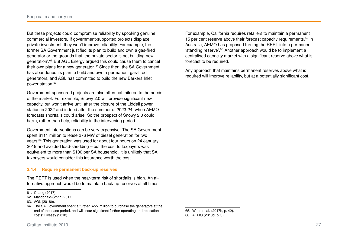But these projects could compromise reliability by spooking genuine commercial investors. If government-supported projects displace private investment, they won't improve reliability. For example, the former SA Government justified its plan to build and own a gas-fired generator or the grounds that 'the private sector is not building new generation'.[61](#page-26-0) But AGL Energy argued this could cause them to cancel their own plans for a new generator.<sup>[62](#page-26-1)</sup> Since then, the SA Government has abandoned its plan to build and own a permanent gas-fired generators, and AGL has committed to build the new Barkers Inlet power station.[63](#page-26-2)

Government-sponsored projects are also often not tailored to the needs of the market. For example, Snowy 2.0 will provide significant new capacity, but won't arrive until after the closure of the Liddell power station in 2022 and indeed after the summer of 2023-24, when AEMO forecasts shortfalls could arise. So the prospect of Snowy 2.0 could harm, rather than help, reliability in the intervening period.

Government interventions can be very expensive. The SA Government spent \$111 million to lease 276 MW of diesel generation for two years.[64](#page-26-3) This generation was used for about four hours on 24 January 2019 and avoided load-shedding – but the cost to taxpayers was equivalent to more than \$100 per SA household. It is unlikely that SA taxpayers would consider this insurance worth the cost.

# **2.4.4 Require permanent back-up reserves**

The RERT is used when the near-term risk of shortfalls is high. An alternative approach would be to maintain back-up reserves at all times.

For example, California requires retailers to maintain a permanent 15 per cent reserve above their forecast capacity requirements.<sup>[65](#page-26-4)</sup> In Australia, AEMO has proposed turning the RERT into a permanent 'standing reserve'.[66](#page-26-5) Another approach would be to implement a centralised capacity market with a significant reserve above what is forecast to be required.

Any approach that maintains permanent reserves above what is required will improve reliability, but at a potentially significant cost.

<span id="page-26-5"></span><span id="page-26-4"></span>65. Wood et al. [\(2017b,](#page-53-3) p. 42). 66. AEMO [\(2018g,](#page-50-10) p. 3).

<span id="page-26-0"></span><sup>61.</sup> [Chang \(2017\).](#page-51-8)

<span id="page-26-1"></span><sup>62.</sup> [Macdonald-Smith \(2017\).](#page-52-11)

<span id="page-26-2"></span><sup>63.</sup> [AGL \(2018b\).](#page-51-9)

<span id="page-26-3"></span><sup>64.</sup> The SA Government spent a further \$227 million to purchase the generators at the end of the lease period, and will incur significant further operating and relocation costs: [Livesey \(2018\).](#page-52-9)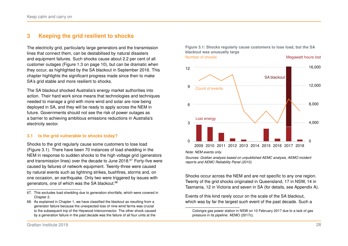# <span id="page-27-0"></span>**3 Keeping the grid resilient to shocks**

The electricity grid, particularly large generators and the transmission lines that connect them, can be destabilised by natural disasters and equipment failures. Such shocks cause about 2.2 per cent of all customer outages (Figure [1.3](#page-9-0) on page [10\)](#page-9-0), but can be dramatic when they occur, as highlighted by the SA blackout in September 2016. This chapter highlights the significant progress made since then to make SA's grid stable and more resilient to shocks.

The SA blackout shocked Australia's energy market authorities into action. Their hard work since means that technologies and techniques needed to manage a grid with more wind and solar are now being deployed in SA, and they will be ready to apply across the NEM in future. Governments should not see the risk of power outages as a barrier to achieving ambitious emissions reductions in Australia's electricity sector.

# **3.1 Is the grid vulnerable to shocks today?**

Shocks to the grid regularly cause some customers to lose load (Figure [3.1\)](#page-27-1). There have been 70 instances of load shedding in the NEM in response to sudden shocks to the high voltage grid (generators and transmission lines) over the decade to June 2018.<sup>[67](#page-27-2)</sup> Forty-five were caused by failures of network equipment. Twenty-three were caused by natural events such as lightning strikes, bushfires, storms and, on one occasion, an earthquake. Only two were triggered by issues with generators, one of which was the SA blackout.<sup>[68](#page-27-3)</sup>

<span id="page-27-1"></span>

*Note: NEM events only.*

*Sources: Grattan analysis based on unpublished AEMC analysis, AEMO incident reports and [AEMC Reliability Panel \(2010\).](#page-48-3)*

Shocks occur across the NEM and are not specific to any one region. Twenty of the grid shocks originated in Queensland, 17 in NSW, 14 in Tasmania, 12 in Victoria and seven in SA (for details, see Appendix [A\)](#page-43-0).

Events of this kind rarely occur on the scale of the SA blackout, which was by far the largest such event of the past decade. Such a

<span id="page-27-2"></span><sup>67.</sup> This excludes load shedding due to generation shortfalls, which were covered in Chapter [2.](#page-12-0)

<span id="page-27-3"></span><sup>68.</sup> As explained in Chapter [1,](#page-5-0) we have classified the blackout as resulting from a generator failure because the unexpected loss of nine wind farms was crucial to the subsequent trip of the Heywood interconnector. The other shock caused by a generation failure in the past decade was the failure of all four units at the

Colongra gas power station in NSW on 10 February 2017 due to a lack of gas pressure in its pipeline: [AEMO \(2017c\).](#page-49-11)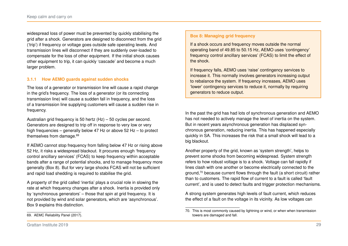widespread loss of power must be prevented by quickly stabilising the grid after a shock. Generators are designed to disconnect from the grid ('trip') if frequency or voltage goes outside safe operating levels. And transmission lines will disconnect if they are suddenly over-loaded to compensate for the loss of other equipment. If the initial shock causes other equipment to trip, it can quickly 'cascade' and become a much larger problem.

# **3.1.1 How AEMO guards against sudden shocks**

The loss of a generator or transmission line will cause a rapid change in the grid's frequency. The loss of a generator (or its connecting transmission line) will cause a sudden fall in frequency, and the loss of a transmission line supplying customers will cause a sudden rise in frequency.

Australian grid frequency is 50 hertz (Hz) – 50 cycles per second. Generators are designed to trip off in response to very low or very high frequencies – generally below 47 Hz or above 52 Hz – to protect themselves from damage.[69](#page-28-0)

If AEMO cannot stop frequency from falling below 47 Hz or rising above 52 Hz, it risks a widespread blackout. It procures enough 'frequency control ancillary services' (FCAS) to keep frequency within acceptable bands after a range of potential shocks, and to manage frequency more generally (Box [8\)](#page-28-1). But for very large shocks FCAS will not be sufficient and rapid load shedding is required to stabilise the grid.

A property of the grid called 'inertia' plays a crucial role in slowing the rate at which frequency changes after a shock. Inertia is provided only by 'synchronous generators' – those that spin at grid frequency. It is not provided by wind and solar generators, which are 'asynchronous'. Box [9](#page-29-0) explains this distinction.

#### <span id="page-28-1"></span>**Box 8: Managing grid frequency**

If a shock occurs and frequency moves outside the normal operating band of 49.85 to 50.15 Hz, AEMO uses 'contingency' frequency control ancillary services' (FCAS) to limit the effect of the shock.

If frequency falls, AEMO uses 'raise' contingency services to increase it. This normally involves generators increasing output to rebalance the system. If frequency increases, AEMO uses 'lower' contingency services to reduce it, normally by requiring generators to reduce output.

In the past the grid has had lots of synchronous generation and AEMO has not needed to actively manage the level of inertia on the system. But in recent years asynchronous generation has displaced synchronous generation, reducing inertia. This has happened especially quickly in SA. This increases the risk that a small shock will lead to a big blackout.

Another property of the grid, known as 'system strength', helps to prevent some shocks from becoming widespread. System strength refers to how robust voltage is to a shock. Voltage can fall rapidly if lines clash with one another or become electrically connected to the ground, $70$  because current flows through the fault (a short circuit) rather than to customers. The rapid flow of current to a fault is called 'fault current', and is used to detect faults and trigger protection mechanisms.

A strong system generates high levels of fault current, which reduces the effect of a fault on the voltage in its vicinity. As low voltages can

<span id="page-28-2"></span><sup>70.</sup> This is most commonly caused by lightning or wind, or when when transmission towers are damaged and fall.

<span id="page-28-0"></span><sup>69.</sup> [AEMC Reliability Panel \(2017\).](#page-49-12)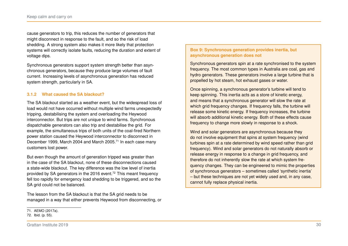cause generators to trip, this reduces the number of generators that might disconnect in response to the fault, and so the risk of load shedding. A strong system also makes it more likely that protection systems will correctly isolate faults, reducing the duration and extent of voltage dips.

Synchronous generators support system strength better than asynchronous generators, because they produce large volumes of fault current. Increasing levels of asynchronous generation has reduced system strength, particularly in SA.

# **3.1.2 What caused the SA blackout?**

The SA blackout started as a weather event, but the widespread loss of load would not have occurred without multiple wind farms unexpectedly tripping, destabilising the system and overloading the Heywood interconnector. But trips are not unique to wind farms. Synchronous dispatchable generators can also trip and destabilise the grid. For example, the simultaneous trips of both units of the coal-fired Northern power station caused the Heywood interconnector to disconnect in December 1999, March 2004 and March 2005.<sup>[71](#page-29-1)</sup> In each case many customers lost power.

But even though the amount of generation tripped was greater than in the case of the SA blackout, none of these disconnections caused a state-wide blackout. The key difference was the low level of inertia provided by SA generators in the 2016 event.<sup>[72](#page-29-2)</sup> This meant frequency fell too rapidly for emergency load shedding to be triggered, and so the SA grid could not be balanced.

The lesson from the SA blackout is that the SA grid needs to be managed in a way that either prevents Heywood from disconnecting, or

# <span id="page-29-0"></span>**Box 9: Synchronous generation provides inertia, but asynchronous generation does not**

Synchronous generators spin at a rate synchronised to the system frequency. The most common types in Australia are coal, gas and hydro generators. These generators involve a large turbine that is propelled by hot steam, hot exhaust gases or water.

Once spinning, a synchronous generator's turbine will tend to keep spinning. This inertia acts as a store of kinetic energy, and means that a synchronous generator will slow the rate at which grid frequency changes. If frequency falls, the turbine will release some kinetic energy. If frequency increases, the turbine will absorb additional kinetic energy. Both of these effects cause frequency to change more slowly in response to a shock.

Wind and solar generators are asynchronous because they do not involve equipment that spins at system frequency (wind turbines spin at a rate determined by wind speed rather than grid frequency). Wind and solar generators do not naturally absorb or release energy in response to a change in grid frequency, and therefore do not inherently slow the rate at which system frequency changes. They can be engineered to mimic the properties of synchronous generators – sometimes called 'synthetic inertia' – but these techniques are not yet widely used and, in any case, cannot fully replace physical inertia.

<span id="page-29-1"></span><sup>71.</sup> [AEMO \(2017a\).](#page-49-0)

<span id="page-29-2"></span><sup>72.</sup> Ibid. (p. 55).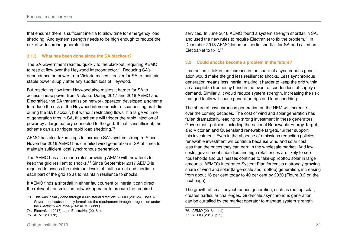that ensures there is sufficient inertia to allow time for emergency load shedding. And system strength needs to be high enough to reduce the risk of widespread generator trips.

# **3.1.3 What has been done since the SA blackout?**

The SA Government reacted quickly to the blackout, requiring AEMO to restrict flow over the Heywood interconnector.<sup>[73](#page-30-0)</sup> Reducing SA's dependence on power from Victoria makes it easier for SA to maintain stable power supply after any sudden loss of Heywood.

But restricting flow from Heywood also makes it harder for SA to access cheap power from Victoria. During 2017 and 2018 AEMO and ElectraNet, the SA transmission network operator, developed a scheme to reduce the risk of the Heywood interconnector disconnecting as it did during the SA blackout, but without restricting flows. If a large volume of generation trips in SA, this scheme will trigger the rapid injection of power by a large battery connected to the grid. If that is insufficient, the scheme can also trigger rapid load shedding.<sup>[74](#page-30-1)</sup>

AEMO has also taken steps to increase SA's system strength. Since November 2016 AEMO has curtailed wind generation in SA at times to maintain sufficient local synchronous generation.

The AEMC has also made rules providing AEMO with new tools to keep the grid resilient to shocks.[75](#page-30-2) Since September 2017 AEMO is required to assess the minimum levels of fault current and inertia in each part of the grid so as to maintain resilience to shocks.

If AEMO finds a shortfall in either fault current or inertia it can direct the relevant transmission network operator to procure the required

services. In June 2018 AEMO found a system strength shortfall in SA, and used the new rules to require ElectraNet to fix the problem.<sup>[76](#page-30-3)</sup> In December 2018 AEMO found an inertia shortfall for SA and called on ElectraNet to fix it.[77](#page-30-4)

#### **3.2 Could shocks become a problem in the future?**

If no action is taken, an increase in the share of asynchronous generation would make the grid less resilient to shocks. Less synchronous generation means less inertia, making it harder to keep the grid within an acceptable frequency band in the event of sudden loss of supply or demand. Similarly, it would reduce system strength, increasing the risk that grid faults will cause generator trips and load shedding.

The share of asynchronous generation on the NEM will increase over the coming decades. The cost of wind and solar generation has fallen dramatically, leading to strong investment in these generators. Government policies, including the national Renewable Energy Target, and Victorian and Queensland renewable targets, further support this investment. Even in the absence of emissions reduction policies, renewable investment will continue because wind and solar cost less than the prices they can earn in the wholesale market. And low costs, government subsidies and high retail prices are likely to see households and businesses continue to take-up rooftop solar in large amounts. AEMO's Integrated System Plan forecasts a strongly growing share of wind and solar (large-scale and rooftop) generation, increasing from about 16 per cent today to 40 per cent by 2030 (Figure [3.2](#page-31-0) on the next page).

The growth of small asynchronous generation, such as rooftop solar, creates particular challenges. Grid-scale asynchronous generation can be curtailed by the market operator to manage system strength

<span id="page-30-0"></span><sup>73.</sup> This was initially done through a Ministerial direction: [AEMO \(2016b\).](#page-49-13) The SA Government subsequently formalised the requirement through a regulation under the *Electricity Act 1996 (SA)*: [AEMO \(ibid.\).](#page-49-13)

<span id="page-30-1"></span><sup>74.</sup> [ElectraNet \(2017\);](#page-51-10) and [ElectraNet \(2018a\).](#page-51-11)

<span id="page-30-2"></span><sup>75.</sup> [AEMC \(2017b\).](#page-48-7)

<span id="page-30-3"></span><sup>76.</sup> AEMO [\(2018h,](#page-50-11) p. 4).

<span id="page-30-4"></span><sup>77.</sup> AEMO [\(2018i,](#page-50-12) p. 5).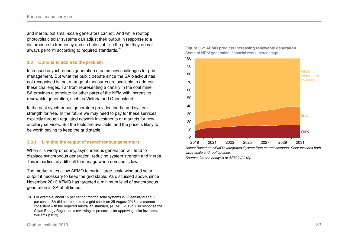and inertia, but small-scale generators cannot. And while rooftop photovoltaic solar systems can adjust their output in response to a disturbance to frequency and so help stabilise the grid, they do not always perform according to required standards.<sup>[78](#page-31-1)</sup>

# **3.3 Options to address the problem**

Increased asynchronous generation creates new challenges for grid management. But what the public debate since the SA blackout has not recognised is that a range of measures are available to address these challenges. Far from representing a canary in the coal mine, SA provides a template for other parts of the NEM with increasing renewable generation, such as Victoria and Queensland.

In the past synchronous generators provided inertia and system strength for free. In the future we may need to pay for these services explicitly through regulated network investments or markets for new ancillary services. But the tools are available, and the price is likely to be worth paying to keep the grid stable.

# **3.3.1 Limiting the output of asynchronous generators**

When it is windy or sunny, asynchronous generation will tend to displace synchronous generation, reducing system strength and inertia. This is particularly difficult to manage when demand is low.

The market rules allow AEMO to curtail large-scale wind and solar output if necessary to keep the grid stable. As discussed above, since November 2016 AEMO has targeted a minimum level of synchronous generation in SA at all times.

<span id="page-31-0"></span>



*Notes: Based on AEMO's Integrated System Plan neutral scenario. Solar includes both large-scale and rooftop solar.*

*Source: Grattan analysis of [AEMO \(2018j\).](#page-50-14)*

<span id="page-31-1"></span><sup>78.</sup> For example, about 15 per cent of rooftop solar systems in Queensland and 30 per cent in SA did not respond to a grid shock on 25 August 2018 in a manner consistent with the required Australian standard, [\(AEMO \(2019d\)\)](#page-50-13). In response the Clean Energy Regulator is reviewing its processes for approving solar inverters: [Williams \(2019\).](#page-53-8)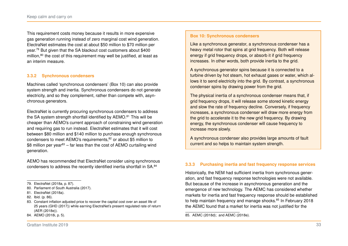This requirement costs money because it results in more expensive gas generation running instead of zero marginal cost wind generation. ElectraNet estimates the cost at about \$50 million to \$70 million per year.[79](#page-32-0) But given that the SA blackout cost customers about \$400 million,<sup>[80](#page-32-1)</sup> the cost of this requirement may well be justified, at least as an interim measure.

#### **3.3.2 Synchronous condensers**

Machines called 'synchronous condensers' (Box [10\)](#page-32-2) can also provide system strength and inertia. Synchronous condensers do not generate electricity, and so they complement, rather than compete with, asynchronous generators.

ElectraNet is currently procuring synchronous condensers to address the SA system strength shortfall identified by AEMO.<sup>[81](#page-32-3)</sup> This will be cheaper than AEMO's current approach of constraining wind generation and requiring gas to run instead. ElectraNet estimates that it will cost between \$80 million and \$140 million to purchase enough synchronous condensers to meet AEMO's requirements,<sup>[82](#page-32-4)</sup> or about \$5 million to \$8 million per year<sup>[83](#page-32-5)</sup> – far less than the cost of AEMO curtailing wind generation.

AEMO has recommended that ElectraNet consider using synchronous condensers to address the recently identified inertia shortfall in SA.[84](#page-32-6)

<span id="page-32-6"></span>84. AEMO [\(2018i,](#page-50-12) p. 5).

#### <span id="page-32-2"></span>**Box 10: Synchronous condensers**

Like a synchronous generator, a synchronous condenser has a heavy metal rotor that spins at grid frequency. Both will release energy if grid frequency drops, or absorb it if grid frequency increases. In other words, both provide inertia to the grid.

A synchronous generator spins because it is connected to a turbine driven by hot steam, hot exhaust gases or water, which allows it to send electricity into the grid. By contrast, a synchronous condenser spins by drawing power from the grid.

The physical inertia of a synchronous condenser means that, if grid frequency drops, it will release some stored kinetic energy and slow the rate of frequency decline. Conversely, if frequency increases, a synchronous condenser will draw more energy from the grid to accelerate it to the new grid frequency. By drawing energy, the synchronous condenser will cause frequency to increase more slowly.

A synchronous condenser also provides large amounts of fault current and so helps to maintain system strength.

#### **3.3.3 Purchasing inertia and fast frequency response services**

Historically, the NEM had sufficient inertia from synchronous generation, and fast frequency response technologies were not available. But because of the increase in asynchronous generation and the emergence of new technology. The AEMC has considered whether markets for inertia and fast frequency response should be established to help maintain frequency and manage shocks.<sup>[85](#page-32-7)</sup> In February 2018 the AEMC found that a market for inertia was not justified for the

<span id="page-32-0"></span><sup>79.</sup> ElectraNet [\(2018a,](#page-51-11) p. 87).

<span id="page-32-1"></span><sup>80.</sup> [Parliament of South Australia \(2017\).](#page-53-0)

<span id="page-32-3"></span><sup>81.</sup> [ElectraNet \(2018a\).](#page-51-11)

<span id="page-32-4"></span><sup>82.</sup> Ibid. (p. 86).

<span id="page-32-5"></span><sup>83.</sup> Constant inflation adjusted price to recover the capital cost over an asset life of 25 years [\(GHD \(2017\)\)](#page-52-12) while earning ElectraNet's present regulated rate of return [\(AER \(2018e\)\)](#page-51-12).

<span id="page-32-7"></span><sup>85.</sup> [AEMC \(2018d\);](#page-48-8) and [AEMC \(2018e\).](#page-48-9)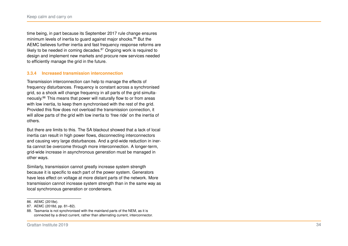time being, in part because its September 2017 rule change ensures minimum levels of inertia to quard against major shocks.<sup>[86](#page-33-0)</sup> But the AEMC believes further inertia and fast frequency response reforms are likely to be needed in coming decades. $87$  Ongoing work is required to design and implement new markets and procure new services needed to efficiently manage the grid in the future.

# **3.3.4 Increased transmission interconnection**

Transmission interconnection can help to manage the effects of frequency disturbances. Frequency is constant across a synchronised grid, so a shock will change frequency in all parts of the grid simultaneously.[88](#page-33-2) This means that power will naturally flow to or from areas with low inertia, to keep them synchronised with the rest of the grid. Provided this flow does not overload the transmission connection, it will allow parts of the grid with low inertia to 'free ride' on the inertia of others.

But there are limits to this. The SA blackout showed that a lack of local inertia can result in high power flows, disconnecting interconnectors and causing very large disturbances. And a grid-wide reduction in inertia cannot be overcome through more interconnection. A longer-term, grid-wide increase in asynchronous generation must be managed in other ways.

Similarly, transmission cannot greatly increase system strength because it is specific to each part of the power system. Generators have less effect on voltage at more distant parts of the network. More transmission cannot increase system strength than in the same way as local synchronous generation or condensers.

<span id="page-33-0"></span><sup>86.</sup> [AEMC \(2018e\).](#page-48-9)

<span id="page-33-1"></span><sup>87.</sup> AEMC [\(2018d,](#page-48-8) pp. 81–82).

<span id="page-33-2"></span><sup>88.</sup> Tasmania is not synchronised with the mainland parts of the NEM, as it is connected by a direct current, rather than alternating current, interconnector.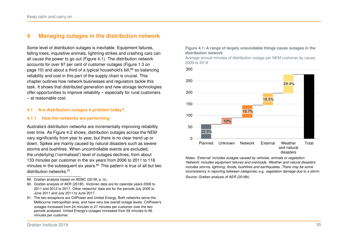# <span id="page-34-0"></span>**4 Managing outages in the distribution network**

Some level of distribution outages is inevitable. Equipment failures, falling trees, inquisitive animals, lightning strikes and crashing cars can all cause the power to go out (Figure [4.1\)](#page-34-1). The distribution network accounts for over 97 per cent of customer outages (Figure [1.3](#page-9-0) on page [10\)](#page-9-0) and about a third of a typical household's bill,<sup>[89](#page-34-2)</sup> so balancing reliability and cost in this part of the supply chain is crucial. This chapter outlines how network businesses and regulators tackle this task. It shows that distributed generation and new storage technologies offer opportunities to improve reliability – especially for rural customers – at reasonable cost.

#### **4.1 Are distribution outages a problem today?**

#### **4.1.1 How the networks are performing**

Australia's distribution networks are incrementally improving reliability over time. As Figure [4.2](#page-35-0) shows, distribution outages across the NEM vary significantly from year to year, but there is no clear trend up or down. Spikes are mainly caused by natural disasters such as severe storms and bushfires. When uncontrollable events are excluded, the underlying ('normalised') level of outages declines, from about 133 minutes per customer in the six years from 2006 to 2011 to 116 minutes in the subsequent six years.<sup>[90](#page-34-3)</sup> This pattern is true of all but two distribution networks.<sup>[91](#page-34-4)</sup>

- <span id="page-34-2"></span>89. Grattan analysis based on AEMC [\(2018f,](#page-48-10) p. ix).
- <span id="page-34-3"></span>90. Grattan analysis of [AER \(2018f\).](#page-51-13) Victorian data are for calendar years 2006 to 2011 and 2012 to 2017. Other networks' data are for the periods July 2005 to June 2011 and July 2011 to June 2017.
- <span id="page-34-4"></span>91. The two exceptions are CitiPower and United Energy. Both networks serve the Melbourne metropolitan area, and have very low overall outage levels. CitiPower's outages increased from 24 minutes to 27 minutes per customer over the two periods analysed. United Energy's outages increased from 59 minutes to 66 minutes per customer.

#### <span id="page-34-1"></span>**Figure 4.1: A range of largely unavoidable things cause outages in the distribution network**

Average annual minutes of distribution outage per NEM customer by cause, 2009 to 2018



*Notes: 'External' includes outages caused by vehicles, animals or vegetation. 'Network' includes equipment failures and overloads. Weather and natural disasters includes storms, lightning, floods, bushfires and earthquakes. There may be some inconsistency in reporting between categories,* e.g. *vegetation damage due to a storm. Source: Grattan analysis of [AER \(2018b\).](#page-51-1)*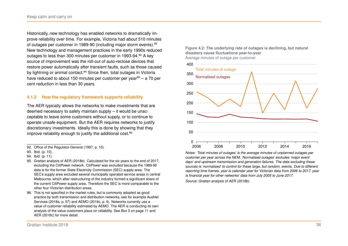Historically, new technology has enabled networks to dramatically improve reliability over time. For example, Victoria had about 510 minutes of outages per customer in 1989-90 (including major storm events).[92](#page-35-1) New technology and management practices in the early 1990s reduced outages to less than 300 minutes per customer in 19[93](#page-35-2)-94.93 A key source of improvement was the roll-out of auto-reclose devices that restore power automatically after transient faults, such as those caused by lightning or animal contact.<sup>[94](#page-35-3)</sup> Since then, total outages in Victoria have reduced to about 150 minutes per customer per year<sup>[95](#page-35-4)</sup> – a 70 per cent reduction in less than 30 years.

# **4.1.2 How the regulatory framework supports reliability**

The AER typically allows the networks to make investments that are deemed necessary to safely maintain supply – it would be unacceptable to leave some customers without supply, or to continue to operate unsafe equipment. But the AER requires networks to justify discretionary investments. Ideally this is done by showing that they improve reliability enough to justify the additional cost.<sup>[96](#page-35-5)</sup>

<span id="page-35-1"></span>92. Office of the Regulator-General [\(1997,](#page-52-13) p. 10).

- <span id="page-35-4"></span>95. Grattan analysis of [AER \(2018b\).](#page-51-1) Calculated for the six years to the end of 2017, excluding the CitiPower network. CitiPower was excluded because the 1989-90 data is for the former State Electricity Commission (SEC) supply area. The SEC's supply area excluded several municipally operated service areas in central Melbourne, which after restructuring of the industry formed a significant share of the current CitiPower supply area. Therefore the SEC is more comparable to the other four Victorian distribution areas.
- <span id="page-35-5"></span>96. This is not specified in the market rules, but is commonly adopted as good practice by both transmission and distribution networks, see for example AusNet Services [\(2018a,](#page-51-14) p. 57) and AEMO [\(2016c,](#page-49-14) p. 4). Networks currently use a value of customer reliability estimated by AEMO. The AER is conducting its own analysis of the value customers place on reliability. See Box [3](#page-10-4) on page [11](#page-10-4) and [AER \(2018c\)](#page-51-2) for more detail.

<span id="page-35-0"></span>



*Notes: 'Total minutes of outages' is the average minutes of unplanned outages per customer per year across the NEM. 'Normalised outages' excludes 'major event days' and upstream transmission and generation failures. The data excluding these sources is 'normalised' to control for these large, but random, events. Due to different reporting time frames, year is calendar year for Victorian data from 2006 to 2017, year is financial year for other networks' data from July 2005 to June 2017. Source: Grattan analysis of [AER \(2018b\).](#page-51-1)*

<span id="page-35-2"></span><sup>93.</sup> Ibid. (p. 10).

<span id="page-35-3"></span><sup>94.</sup> Ibid. (p. 11).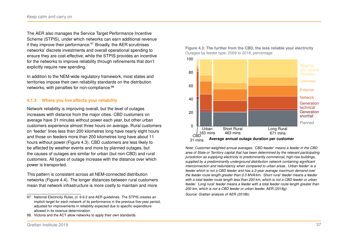The AER also manages the Service Target Performance Incentive Scheme (STPIS), under which networks can earn additional revenue if they improve their performance. $97$  Broadly, the AER scrutinises networks' discrete investments and overall operational spending to ensure they are cost-effective, while the STPIS provides an incentive for the networks to improve reliability through refinements that don't explicitly require new spending.

In addition to the NEM-wide regulatory framework, most states and territories impose their own reliability standards on the distribution networks, with penalties for non-compliance.<sup>[98](#page-36-2)</sup>

# **4.1.3 Where you live affects your reliability**

Network reliability is improving overall, but the level of outages increases with distance from the major cities. CBD customers on average have 31 minutes without power each year, but other urban customers experience almost three hours on average. Rural customers on 'feeder' lines less than 200 kilometres long have nearly eight hours and those on feeders more than 200 kilometres long have about 11 hours without power (Figure [4.3\)](#page-36-0). CBD customers are less likely to be affected by weather events and more by planned outages, but the causes of outages are similar for urban (but non-CBD) and rural customers. All types of outage increase with the distance over which power is transported.

This pattern is consistent across all NEM-connected distribution networks (Figure [4.4\)](#page-37-0). The longer distances between rural customers mean that network infrastructure is more costly to maintain and more

<span id="page-36-0"></span>**Figure 4.3: The further from the CBD, the less reliable your electricity** Outages by feeder type, 2009 to 2018, percentage



*Note: Customer-weighted annual averages. 'CBD feeder' means a feeder in the CBD area of State or Territory capital that has been determined by the relevant participating jurisdiction as supplying electricity to predominantly commercial, high-rise buildings, supplied by a predominantly underground distribution network containing significant interconnection and redundancy when compared to urban areas. 'Urban feeder' is a feeder which is not a CBD feeder and has a 3-year average maximum demand over the feeder route length greater than 0.3 MVA/km. 'Short rural' feeder means a feeder with a total feeder route length less than 200 km, which is not a CBD feeder or urban feeder. 'Long rural' feeder means a feeder with a total feeder route length greater than 200 km, which is not a CBD feeder or urban feeder, [AER \(2018g\).](#page-51-15)*

*Source: Grattan analysis of [AER \(2018b\).](#page-51-1)*

<span id="page-36-1"></span><sup>97.</sup> National Electricity Rules, cl. 6.6.2 and AER guidelines. The STPIS creates an implicit target for each network of its performance in the previous five-year period, adjusted for improvements in reliability expected due to specific expenditure allowed in its revenue determination.

<span id="page-36-2"></span><sup>98.</sup> Victoria and the ACT allow networks to apply their own standards.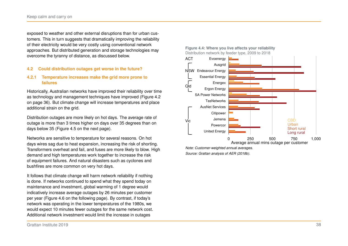exposed to weather and other external disruptions than for urban customers. This in turn suggests that dramatically improving the reliability of their electricity would be very costly using conventional network approaches. But distributed generation and storage technologies may overcome the tyranny of distance, as discussed below.

# **4.2 Could distribution outages get worse in the future?**

# **4.2.1 Temperature increases make the grid more prone to failures**

Historically, Australian networks have improved their reliability over time as technology and management techniques have improved (Figure [4.2](#page-35-0) on page [36\)](#page-35-0). But climate change will increase temperatures and place additional strain on the grid.

Distribution outages are more likely on hot days. The average rate of outage is more than 3 times higher on days over 35 degrees than on days below 35 (Figure [4.5](#page-38-0) on the next page).

Networks are sensitive to temperature for several reasons. On hot days wires sag due to heat expansion, increasing the risk of shorting. Transformers overheat and fail, and fuses are more likely to blow. High demand and high temperatures work together to increase the risk of equipment failures. And natural disasters such as cyclones and bushfires are more common on very hot days.

It follows that climate change will harm network reliability if nothing is done. If networks continued to spend what they spend today on maintenance and investment, global warming of 1 degree would indicatively increase average outages by 26 minutes per customer per year (Figure [4.6](#page-38-0) on the following page). By contrast, if today's network was operating in the lower temperatures of the 1980s, we would expect 10 minutes fewer outages for the same network cost. Additional network investment would limit the increase in outages



#### <span id="page-37-0"></span>**Figure 4.4: Where you live affects your reliability** Distribution network by feeder type, 2009 to 2018

*Note: Customer-weighted annual averages. Source: Grattan analysis of [AER \(2018b\).](#page-51-1)*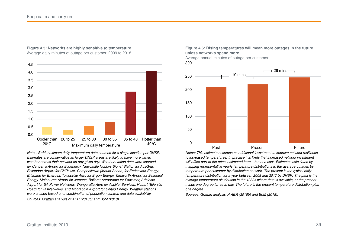

# <span id="page-38-0"></span>**Figure 4.5: Networks are highly sensitive to temperature**

Average daily minutes of outage per customer, 2009 to 2018

**Figure 4.6: Rising temperatures will mean more outages in the future, unless networks spend more**

Average annual minutes of outage per customer



*Notes: This estimate assumes no additional investment to improve network resilience to increased temperatures. In practice it is likely that increased network investment will offset part of the effect estimated here – but at a cost. Estimates calculated by mapping representative yearly temperature distributions to the average outages by temperature per customer by distribution network. The present is the typical daily temperature distribution for a year between 2008 and 2017 by DNSP. The past is the average temperature distribution in the 1980s where data is available, or the present minus one degree for each day. The future is the present temperature distribution plus one degree.*

*Sources: Grattan analysis of [AER \(2018b\)](#page-51-1) and [BoM \(2018\).](#page-51-3)*

*Notes: BoM maximum daily temperature data sourced for a single location per DNSP. Estimates are conservative as larger DNSP areas are likely to have more varied weather across their network on any given day. Weather station data were sourced for Canberra Airport for Evoenergy, Newcastle Nobbys Signal Station for AusGrid, Essendon Airport for CitiPower, Campbelltown (Mount Annan) for Endeavour Energy, Brisbane for Energex, Townsville Aero for Ergon Energy, Tamworth Airport for Essential Energy, Melbourne Airport for Jemena, Ballarat Aerodrome for Powercor, Adelaide Airport for SA Power Networks, Wangaratta Aero for AusNet Services, Hobart (Ellerslie Road) for TasNetworks, and Moorabbin Airport for United Energy. Weather stations were chosen based on a combination of population centres and data availability. Sources: Grattan analysis of [AER \(2018b\)](#page-51-1) and [BoM \(2018\).](#page-51-3)*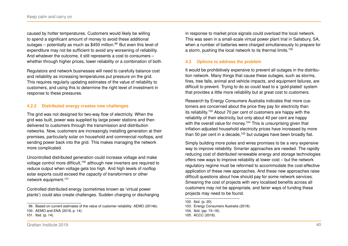caused by hotter temperatures. Customers would likely be willing to spend a significant amount of money to avoid these additional outages – potentially as much as \$450 million.<sup>[99](#page-39-0)</sup> But even this level of expenditure may not be sufficient to avoid any worsening of reliability. And whatever the outcome, it still represents a cost to consumers – whether through higher prices, lower reliability or a combination of both.

Regulators and network businesses will need to carefully balance cost and reliability as increasing temperatures put pressure on the grid. This requires regularly updating estimates of the value of reliability to customers, and using this to determine the right level of investment in response to these pressures.

# **4.2.2 Distributed energy creates new challenges**

The grid was not designed for two-way flow of electricity. When the grid was built, power was supplied by large power stations and then delivered to customers through the transmission and distribution networks. Now, customers are increasingly installing generation at their premises, particularly solar on household and commercial rooftops, and sending power back into the grid. This makes managing the network more complicated.

Uncontrolled distributed generation could increase voltage and make voltage control more difficult,<sup>[100](#page-39-1)</sup> although new inverters are required to reduce output when voltage gets too high. And high levels of rooftop solar exports could exceed the capacity of transformers or other network equipment.[101](#page-39-2)

Controlled distributed energy (sometimes known as 'virtual power plants') could also create challenges. Sudden charging or discharging

in response to market price signals could overload the local network. This was seen in a small-scale virtual power plant trial in Salisbury, SA, when a number of batteries were charged simultaneously to prepare for a storm, pushing the local network to its thermal limits.[102](#page-39-3)

#### **4.3 Options to address the problem**

It would be prohibitively expensive to prevent all outages in the distribution network. Many things that cause these outages, such as storms, fires, tree falls, animal and vehicle impacts, and equipment failures, are difficult to prevent. Trying to do so could lead to a 'gold-plated' system that provides a little more reliability but at great cost to customers.

Research by Energy Consumers Australia indicates that more customers are concerned about the price they pay for electricity than its reliability.[103](#page-39-4) About 70 per cent of customers are happy with the reliability of their electricity, but only about 40 per cent are happy with the overall value for money.<sup>[104](#page-39-5)</sup> This is unsurprising given that inflation-adjusted household electricity prices have increased by more than 50 per cent in a decade,<sup>[105](#page-39-6)</sup> but outages have been broadly flat.

Simply building more poles and wires promises to be a very expensive way to improve reliability. Smarter approaches are needed. The rapidly reducing cost of distributed renewable energy and storage technologies offers new ways to improve reliability at lower cost – but the network regulatory regime must be reformed to accommodate the cost-effective application of these new approaches. And these new approaches raise difficult questions about how should pay for some network services. Smearing the cost of projects with very localised benefits across all customers may not be appropriate, and fairer ways of funding these projects may need to be found.

<span id="page-39-1"></span><span id="page-39-0"></span><sup>99.</sup> Based on current estimates of the value of customer reliability: [AEMO \(2014b\).](#page-49-10)

<sup>100.</sup> AEMO and ENA [\(2018,](#page-50-15) p. 14).

<span id="page-39-2"></span><sup>101.</sup> Ibid. (p. 14).

<span id="page-39-3"></span><sup>102.</sup> Ibid. (p. 20).

<span id="page-39-4"></span><sup>103.</sup> [Energy Consumers Australia \(2018\).](#page-52-2)

<span id="page-39-5"></span><sup>104.</sup> Ibid. (pp. 15–16).

<span id="page-39-6"></span><sup>105.</sup> [ACCC \(2018\).](#page-48-1)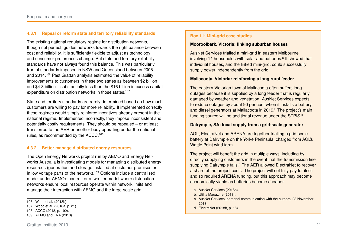# **4.3.1 Repeal or reform state and territory reliability standards**

The existing national regulatory regime for distribution networks, though not perfect, guides networks towards the right balance between cost and reliability. It is sufficiently flexible to adjust as technology and consumer preferences change. But state and territory reliability standards have not always found this balance. This was particularly true of standards imposed in NSW and Queensland between 2005 and 2014.[106](#page-40-0) Past Grattan analysis estimated the value of reliability improvements to customers in these two states as between \$2 billion and \$4.8 billion – substantially less than the \$16 billion in excess capital expenditure on distribution networks in those states.<sup>[107](#page-40-1)</sup>

State and territory standards are rarely determined based on how much customers are willing to pay for more reliability. If implemented correctly these regimes would simply reinforce incentives already present in the national regime. Implemented incorrectly, they impose inconsistent and potentially costly requirements. They should be repealed – or at least transferred to the AER or another body operating under the national rules, as recommended by the ACCC.[108](#page-40-2)

#### **4.3.2 Better manage distributed energy resources**

The Open Energy Networks project run by AEMO and Energy Networks Australia is investigating models for managing distributed energy resources (generation and storage installed at customer premises or in low voltage parts of the network).<sup>[109](#page-40-3)</sup> Options include a centralised model under AEMO's control, or a two-tier model where distribution networks ensure local resources operate within network limits and manage their interaction with AEMO and the large-scale grid.

#### <span id="page-40-8"></span>**Box 11: Mini-grid case studies**

#### **Mooroolbark, Victoria: linking suburban houses**

AusNet Services trialled a mini-grid in eastern Melbourne involving 14 households with sol[a](#page-40-4)r and batteries.<sup>a</sup> It showed that individual houses, and the linked mini-grid, could successfully supply power independently from the grid.

#### **Mallacoota, Victoria: reinforcing a long rural feeder**

The eastern Victorian town of Mallacoota often suffers long outages because it is supplied by a long feeder that is regularly damaged by weather and vegetation. AusNet Services expects to reduce outages by about 90 per cent when it installs a battery and diesel generators at Mallacoota in 2019.<sup>[b](#page-40-5)</sup> The project's main funding sour[c](#page-40-6)e will be additional revenue under the STPIS.<sup>c</sup>

#### **Dalrymple, SA: local supply from a grid-scale generator**

AGL, ElectraNet and ARENA are together trialling a grid-scale battery at Dalrymple on the Yorke Peninsula, charged from AGL's Wattle Point wind farm.

The project will benefit the grid in multiple ways, including by directly supplying customers in the event that the transmission line supplying Dalrymple fails.<sup>[d](#page-40-7)</sup> The AER allowed ElectraNet to recover a share of the project costs. The project will not fully pay for itself and so required ARENA funding, but this approach may become economically viable as batteries become cheaper.

- <span id="page-40-4"></span>a. [AusNet Services \(2018b\).](#page-51-16)
- <span id="page-40-6"></span><span id="page-40-5"></span>b. [Utility Magazine \(2018\).](#page-53-10)
- c. AusNet Services, personal communication with the authors, 23 November 2018.
- <span id="page-40-7"></span>d. ElectraNet [\(2018b,](#page-52-14) p. 18).

<span id="page-40-0"></span><sup>106.</sup> [Wood et al. \(2018b\).](#page-53-9)

<span id="page-40-1"></span><sup>107.</sup> Wood et al. [\(2018a,](#page-53-1) p. 21).

<span id="page-40-2"></span><sup>108.</sup> ACCC [\(2018,](#page-48-1) p. 192).

<span id="page-40-3"></span><sup>109.</sup> [AEMO and ENA \(2018\).](#page-50-15)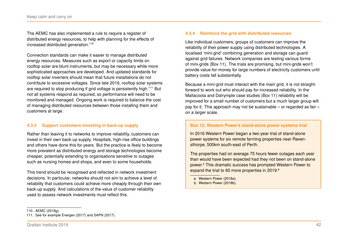The AEMC has also implemented a rule to require a register of distributed energy resources, to help with planning for the effects of increased distributed generation.[110](#page-41-0)

Connection standards can make it easier to manage distributed energy resources. Measures such as export or capacity limits on rooftop solar are blunt instruments, but may be necessary while more sophisticated approaches are developed. And updated standards for rooftop solar inverters should mean that future installations do not contribute to excessive voltages. Since late 2016, rooftop solar systems are required to stop producing if grid voltage is persistently high.<sup>[111](#page-41-1)</sup> But not all systems respond as required, so performance will need to be monitored and managed. Ongoing work is required to balance the cost of managing distributed resources between those installing them and customers at large.

# **4.3.3 Support customers investing in back-up supply**

Rather than leaving it to networks to improve reliability, customers can invest in their own back-up supply. Hospitals, high-rise office buildings and others have done this for years. But the practice is likely to become more prevalent as distributed energy and storage technologies become cheaper, potentially extending to organisations sensitive to outages such as nursing homes and shops, and even to some households.

This trend should be recognised and reflected in network investment decisions. In particular, networks should not aim to achieve a level of reliability that customers could achieve more cheaply through their own back-up supply. And calculations of the value of customer reliability used to assess network investments must reflect this.

#### **4.3.4 Reinforce the grid with distributed resources**

Like individual customers, groups of customers can improve the reliability of their power supply using distributed technologies. A localised 'mini-grid' combining generation and storage can guard against grid failures. Network companies are testing various forms of mini-grids (Box [11\)](#page-40-8). The trials are promising, but mini-grids won't provide value-for-money for large numbers of electricity customers until battery costs fall substantially.

Because a mini-grid must interact with the main grid, it is not straightforward to work out who should pay for increased reliability. In the Mallacoota and Dalrymple case studies (Box [11\)](#page-40-8) reliability will be improved for a small number of customers but a much larger group will pay for it. This approach may not be sustainable – or regarded as fair – on a larger scale.

# <span id="page-41-4"></span>**Box 12: Western Power's stand-alone power systems trial**

In 2016 Western Power began a two-year trial of stand-alone power systems for six remote farming properties near Ravensthorpe, 500km south-east of Perth.

The properties had on average 75 hours fewer outages each year than would have been expected had they not been on stand-alone power.<sup>[a](#page-41-2)</sup> This dramatic success has prompted Western Power to expand the trial to 60 more properties in 2019.<sup>[b](#page-41-3)</sup>

<span id="page-41-2"></span>a. [Western Power \(2018a\).](#page-53-12)

<span id="page-41-3"></span>b. [Western Power \(2018b\).](#page-53-13)

<span id="page-41-0"></span><sup>110.</sup> [AEMC \(2018g\).](#page-48-11)

<span id="page-41-1"></span><sup>111.</sup> See for example [Energex \(2017\)](#page-52-15) and [SAPN \(2017\).](#page-53-11)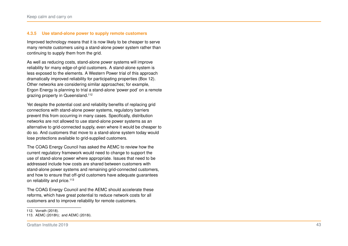#### **4.3.5 Use stand-alone power to supply remote customers**

Improved technology means that it is now likely to be cheaper to serve many remote customers using a stand-alone power system rather than continuing to supply them from the grid.

As well as reducing costs, stand-alone power systems will improve reliability for many edge-of-grid customers. A stand-alone system is less exposed to the elements. A Western Power trial of this approach dramatically improved reliability for participating properties (Box [12\)](#page-41-4). Other networks are considering similar approaches; for example, Ergon Energy is planning to trial a stand-alone 'power pod' on a remote grazing property in Queensland.<sup>[112](#page-42-0)</sup>

Yet despite the potential cost and reliability benefits of replacing grid connections with stand-alone power systems, regulatory barriers prevent this from occurring in many cases. Specifically, distribution networks are not allowed to use stand-alone power systems as an alternative to grid-connected supply, even where it would be cheaper to do so. And customers that move to a stand-alone system today would lose protections available to grid-supplied customers.

The COAG Energy Council has asked the AEMC to review how the current regulatory framework would need to change to support the use of stand-alone power where appropriate. Issues that need to be addressed include how costs are shared between customers with stand-alone power systems and remaining grid-connected customers, and how to ensure that off-grid customers have adequate guarantees on reliability and price.<sup>[113](#page-42-1)</sup>

The COAG Energy Council and the AEMC should accelerate these reforms, which have great potential to reduce network costs for all customers and to improve reliability for remote customers.

<span id="page-42-0"></span><sup>112.</sup> [Vorrath \(2018\).](#page-53-14)

<span id="page-42-1"></span><sup>113.</sup> [AEMC \(2018h\);](#page-48-12) and [AEMC \(2018i\).](#page-48-13)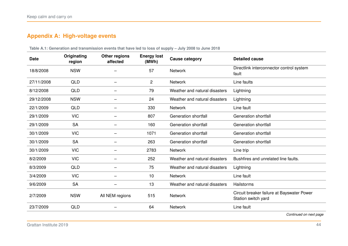# <span id="page-43-0"></span>**Appendix A: High-voltage events**

| Directlink interconnector control system<br><b>NSW</b><br>57<br>18/8/2008<br><b>Network</b><br>fault<br>27/11/2008<br><b>QLD</b><br>$\mathbf{2}$<br>Line faults<br>Network<br>8/12/2008<br><b>QLD</b><br>79<br>Weather and natural disasters<br>Lightning<br><b>NSW</b><br>24<br>Lightning<br>29/12/2008<br>Weather and natural disasters<br>22/1/2009<br><b>QLD</b><br>330<br>Line fault<br><b>Network</b><br><b>VIC</b><br>Generation shortfall<br>Generation shortfall<br>29/1/2009<br>807<br><b>SA</b><br>29/1/2009<br>160<br>Generation shortfall<br>Generation shortfall<br><b>VIC</b><br>1071<br>Generation shortfall<br>Generation shortfall<br>30/1/2009<br>30/1/2009<br><b>SA</b><br>263<br>Generation shortfall<br>Generation shortfall<br><b>VIC</b><br>2783<br>30/1/2009<br><b>Network</b><br>Line trip<br><b>VIC</b><br>8/2/2009<br>252<br>Weather and natural disasters<br>Bushfires and unrelated line faults.<br>8/3/2009<br><b>QLD</b><br>75<br>Weather and natural disasters<br>Lightning<br><b>VIC</b><br>Line fault<br>3/4/2009<br>10<br><b>Network</b><br><b>SA</b><br>13<br>Weather and natural disasters<br>Hailstorms<br>9/6/2009 | <b>Date</b> | Originating<br>region | Other regions<br>affected | <b>Energy lost</b><br>(MWh) | <b>Cause category</b> | <b>Detailed cause</b> |
|------------------------------------------------------------------------------------------------------------------------------------------------------------------------------------------------------------------------------------------------------------------------------------------------------------------------------------------------------------------------------------------------------------------------------------------------------------------------------------------------------------------------------------------------------------------------------------------------------------------------------------------------------------------------------------------------------------------------------------------------------------------------------------------------------------------------------------------------------------------------------------------------------------------------------------------------------------------------------------------------------------------------------------------------------------------------------------------------------------------------------------------------------------|-------------|-----------------------|---------------------------|-----------------------------|-----------------------|-----------------------|
|                                                                                                                                                                                                                                                                                                                                                                                                                                                                                                                                                                                                                                                                                                                                                                                                                                                                                                                                                                                                                                                                                                                                                            |             |                       |                           |                             |                       |                       |
|                                                                                                                                                                                                                                                                                                                                                                                                                                                                                                                                                                                                                                                                                                                                                                                                                                                                                                                                                                                                                                                                                                                                                            |             |                       |                           |                             |                       |                       |
|                                                                                                                                                                                                                                                                                                                                                                                                                                                                                                                                                                                                                                                                                                                                                                                                                                                                                                                                                                                                                                                                                                                                                            |             |                       |                           |                             |                       |                       |
|                                                                                                                                                                                                                                                                                                                                                                                                                                                                                                                                                                                                                                                                                                                                                                                                                                                                                                                                                                                                                                                                                                                                                            |             |                       |                           |                             |                       |                       |
|                                                                                                                                                                                                                                                                                                                                                                                                                                                                                                                                                                                                                                                                                                                                                                                                                                                                                                                                                                                                                                                                                                                                                            |             |                       |                           |                             |                       |                       |
|                                                                                                                                                                                                                                                                                                                                                                                                                                                                                                                                                                                                                                                                                                                                                                                                                                                                                                                                                                                                                                                                                                                                                            |             |                       |                           |                             |                       |                       |
|                                                                                                                                                                                                                                                                                                                                                                                                                                                                                                                                                                                                                                                                                                                                                                                                                                                                                                                                                                                                                                                                                                                                                            |             |                       |                           |                             |                       |                       |
|                                                                                                                                                                                                                                                                                                                                                                                                                                                                                                                                                                                                                                                                                                                                                                                                                                                                                                                                                                                                                                                                                                                                                            |             |                       |                           |                             |                       |                       |
|                                                                                                                                                                                                                                                                                                                                                                                                                                                                                                                                                                                                                                                                                                                                                                                                                                                                                                                                                                                                                                                                                                                                                            |             |                       |                           |                             |                       |                       |
|                                                                                                                                                                                                                                                                                                                                                                                                                                                                                                                                                                                                                                                                                                                                                                                                                                                                                                                                                                                                                                                                                                                                                            |             |                       |                           |                             |                       |                       |
|                                                                                                                                                                                                                                                                                                                                                                                                                                                                                                                                                                                                                                                                                                                                                                                                                                                                                                                                                                                                                                                                                                                                                            |             |                       |                           |                             |                       |                       |
|                                                                                                                                                                                                                                                                                                                                                                                                                                                                                                                                                                                                                                                                                                                                                                                                                                                                                                                                                                                                                                                                                                                                                            |             |                       |                           |                             |                       |                       |
|                                                                                                                                                                                                                                                                                                                                                                                                                                                                                                                                                                                                                                                                                                                                                                                                                                                                                                                                                                                                                                                                                                                                                            |             |                       |                           |                             |                       |                       |
|                                                                                                                                                                                                                                                                                                                                                                                                                                                                                                                                                                                                                                                                                                                                                                                                                                                                                                                                                                                                                                                                                                                                                            |             |                       |                           |                             |                       |                       |
| Circuit breaker failure at Bayswater Power<br><b>NSW</b><br>515<br>2/7/2009<br>All NEM regions<br>Network<br>Station switch yard                                                                                                                                                                                                                                                                                                                                                                                                                                                                                                                                                                                                                                                                                                                                                                                                                                                                                                                                                                                                                           |             |                       |                           |                             |                       |                       |
| <b>QLD</b><br>23/7/2009<br>64<br><b>Network</b><br>Line fault                                                                                                                                                                                                                                                                                                                                                                                                                                                                                                                                                                                                                                                                                                                                                                                                                                                                                                                                                                                                                                                                                              |             |                       |                           |                             |                       |                       |

**Table A.1: Generation and transmission events that have led to loss of supply – July 2008 to June 2018**

*Continued on next page*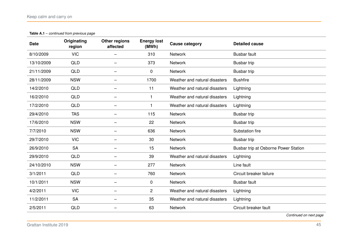#### **Table A.1** – *continued from previous page*

| <b>Date</b> | Originating<br>region | Other regions<br>affected | <b>Energy lost</b><br>(MWh) | <b>Cause category</b>         | <b>Detailed cause</b>                |
|-------------|-----------------------|---------------------------|-----------------------------|-------------------------------|--------------------------------------|
| 8/10/2009   | <b>VIC</b>            |                           | 310                         | <b>Network</b>                | <b>Busbar fault</b>                  |
| 13/10/2009  | QLD                   |                           | 373                         | <b>Network</b>                | Busbar trip                          |
| 21/11/2009  | <b>QLD</b>            |                           | 0                           | <b>Network</b>                | Busbar trip                          |
| 28/11/2009  | <b>NSW</b>            |                           | 1700                        | Weather and natural disasters | <b>Bushfire</b>                      |
| 14/2/2010   | <b>QLD</b>            | $\qquad \qquad -$         | 11                          | Weather and natural disasters | Lightning                            |
| 16/2/2010   | <b>QLD</b>            |                           | 1                           | Weather and natural disasters | Lightning                            |
| 17/2/2010   | <b>QLD</b>            |                           | 1                           | Weather and natural disasters | Lightning                            |
| 29/4/2010   | <b>TAS</b>            |                           | 115                         | Network                       | Busbar trip                          |
| 17/6/2010   | <b>NSW</b>            |                           | 22                          | <b>Network</b>                | Busbar trip                          |
| 7/7/2010    | <b>NSW</b>            | $\overline{\phantom{m}}$  | 636                         | <b>Network</b>                | Substation fire                      |
| 29/7/2010   | <b>VIC</b>            |                           | 30                          | <b>Network</b>                | Busbar trip                          |
| 26/9/2010   | <b>SA</b>             |                           | 15                          | <b>Network</b>                | Busbar trip at Osborne Power Station |
| 29/9/2010   | <b>QLD</b>            |                           | 39                          | Weather and natural disasters | Lightning                            |
| 24/10/2010  | <b>NSW</b>            |                           | 277                         | <b>Network</b>                | Line fault                           |
| 3/1/2011    | <b>QLD</b>            | —                         | 760                         | <b>Network</b>                | Circuit breaker failure              |
| 10/1/2011   | <b>NSW</b>            |                           | 0                           | <b>Network</b>                | <b>Busbar fault</b>                  |
| 4/2/2011    | <b>VIC</b>            | —                         | $\overline{c}$              | Weather and natural disasters | Lightning                            |
| 11/2/2011   | <b>SA</b>             |                           | 35                          | Weather and natural disasters | Lightning                            |
| 2/5/2011    | <b>QLD</b>            |                           | 63                          | <b>Network</b>                | Circuit breaker fault                |

*Continued on next page*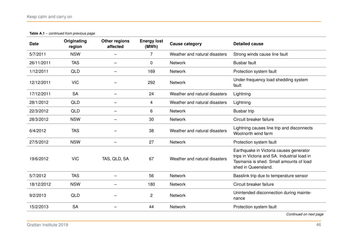**Table A.1** – *continued from previous page*

| <b>Date</b> | Originating<br>region | <b>Other regions</b><br>affected | <b>Energy lost</b><br>(MWh) | <b>Cause category</b>         | <b>Detailed cause</b>                                                                                                                                     |
|-------------|-----------------------|----------------------------------|-----------------------------|-------------------------------|-----------------------------------------------------------------------------------------------------------------------------------------------------------|
| 5/7/2011    | <b>NSW</b>            |                                  | 7                           | Weather and natural disasters | Strong winds cause line fault                                                                                                                             |
| 26/11/2011  | <b>TAS</b>            |                                  | 0                           | Network                       | <b>Busbar fault</b>                                                                                                                                       |
| 1/12/2011   | <b>QLD</b>            | —                                | 169                         | Network                       | Protection system fault                                                                                                                                   |
| 12/12/2011  | <b>VIC</b>            |                                  | 292                         | <b>Network</b>                | Under-frequency load shedding system<br>fault                                                                                                             |
| 17/12/2011  | <b>SA</b>             | -                                | 24                          | Weather and natural disasters | Lightning                                                                                                                                                 |
| 28/1/2012   | <b>QLD</b>            |                                  | 4                           | Weather and natural disasters | Lightning                                                                                                                                                 |
| 22/3/2012   | <b>QLD</b>            |                                  | 6                           | Network                       | Busbar trip                                                                                                                                               |
| 28/3/2012   | <b>NSW</b>            |                                  | 30                          | <b>Network</b>                | Circuit breaker failure                                                                                                                                   |
| 6/4/2012    | <b>TAS</b>            |                                  | 38                          | Weather and natural disasters | Lightning causes line trip and disconnects<br>Woolnorth wind farm                                                                                         |
| 27/5/2012   | <b>NSW</b>            | —                                | 27                          | Network                       | Protection system fault                                                                                                                                   |
| 19/6/2012   | <b>VIC</b>            | TAS, QLD, SA                     | 67                          | Weather and natural disasters | Earthquake in Victoria causes generator<br>trips in Victoria and SA. Industrial load in<br>Tasmania is shed. Small amounts of load<br>shed in Queensland. |
| 5/7/2012    | <b>TAS</b>            |                                  | 56                          | Network                       | Basslink trip due to temperature sensor                                                                                                                   |
| 18/12/2012  | <b>NSW</b>            | —                                | 180                         | Network                       | Circuit breaker failure                                                                                                                                   |
| 9/2/2013    | <b>QLD</b>            |                                  | $\overline{c}$              | Network                       | Unintended disconnection during mainte-<br>nance                                                                                                          |
| 15/2/2013   | <b>SA</b>             |                                  | 44                          | Network                       | Protection system fault                                                                                                                                   |
|             |                       |                                  |                             |                               | $O = 1$ and $O = 1$ and $O = 1$                                                                                                                           |

*Continued on next page*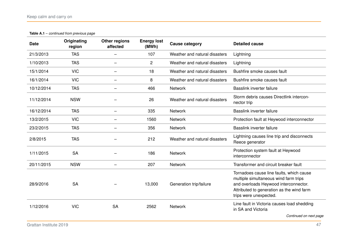#### **Table A.1** – *continued from previous page*

| <b>Date</b> | Originating<br>region | <b>Other regions</b><br>affected | <b>Energy lost</b><br>(MWh) | <b>Cause category</b>         | <b>Detailed cause</b>                                                                                                                                                                             |
|-------------|-----------------------|----------------------------------|-----------------------------|-------------------------------|---------------------------------------------------------------------------------------------------------------------------------------------------------------------------------------------------|
| 21/3/2013   | <b>TAS</b>            |                                  | 107                         | Weather and natural disasters | Lightning                                                                                                                                                                                         |
| 1/10/2013   | <b>TAS</b>            |                                  | $\overline{2}$              | Weather and natural disasters | Lightning                                                                                                                                                                                         |
| 15/1/2014   | <b>VIC</b>            |                                  | 18                          | Weather and natural disasters | Bushfire smoke causes fault                                                                                                                                                                       |
| 16/1/2014   | <b>VIC</b>            | -                                | 8                           | Weather and natural disasters | Bushfire smoke causes fault                                                                                                                                                                       |
| 10/12/2014  | <b>TAS</b>            |                                  | 466                         | <b>Network</b>                | Basslink inverter failure                                                                                                                                                                         |
| 11/12/2014  | <b>NSW</b>            |                                  | 26                          | Weather and natural disasters | Storm debris causes Directlink intercon-<br>nector trip                                                                                                                                           |
| 16/12/2014  | <b>TAS</b>            |                                  | 335                         | Network                       | Basslink inverter failure                                                                                                                                                                         |
| 13/2/2015   | <b>VIC</b>            | $\overline{\phantom{0}}$         | 1560                        | <b>Network</b>                | Protection fault at Heywood interconnector                                                                                                                                                        |
| 23/2/2015   | <b>TAS</b>            | $\overline{\phantom{0}}$         | 356                         | Network                       | Basslink inverter failure                                                                                                                                                                         |
| 2/8/2015    | <b>TAS</b>            |                                  | 212                         | Weather and natural disasters | Lightning causes line trip and disconnects<br>Reece generator                                                                                                                                     |
| 1/11/2015   | <b>SA</b>             |                                  | 186                         | <b>Network</b>                | Protection system fault at Heywood<br>interconnector                                                                                                                                              |
| 20/11/2015  | <b>NSW</b>            |                                  | 207                         | <b>Network</b>                | Transformer and circuit breaker fault                                                                                                                                                             |
| 28/9/2016   | <b>SA</b>             |                                  | 13,000                      | Generation trip/failure       | Tornadoes cause line faults, which cause<br>multiple simultaneous wind farm trips<br>and overloads Heywood interconnector.<br>Attributed to generation as the wind farm<br>trips were unexpected. |
| 1/12/2016   | <b>VIC</b>            | <b>SA</b>                        | 2562                        | <b>Network</b>                | Line fault in Victoria causes load shedding<br>in SA and Victoria<br>Continued on next page                                                                                                       |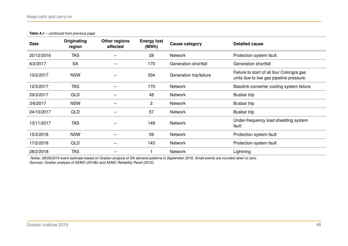| <b>Table A.1</b> – continued from previous page |  |
|-------------------------------------------------|--|
|-------------------------------------------------|--|

| <b>Date</b> | Originating<br>region | Other regions<br>affected | <b>Energy lost</b><br>(MWh) | Cause category          | Detailed cause                                                                       |
|-------------|-----------------------|---------------------------|-----------------------------|-------------------------|--------------------------------------------------------------------------------------|
| 20/12/2016  | <b>TAS</b>            |                           | 28                          | Network                 | Protection system fault.                                                             |
| 8/2/2017    | <b>SA</b>             |                           | 170                         | Generation shortfall    | Generation shortfall                                                                 |
| 10/2/2017   | <b>NSW</b>            |                           | 334                         | Generation trip/failure | Failure to start of all four Colongra gas<br>units due to low gas pipeline pressure. |
| 12/3/2017   | <b>TAS</b>            |                           | 170                         | <b>Network</b>          | Basslink converter cooling system failure                                            |
| 29/3/2017   | <b>QLD</b>            |                           | 48                          | <b>Network</b>          | Busbar trip                                                                          |
| 3/6/2017    | <b>NSW</b>            |                           | $\overline{2}$              | <b>Network</b>          | Busbar trip                                                                          |
| 24/10/2017  | <b>QLD</b>            |                           | 57                          | Network                 | Busbar trip                                                                          |
| 13/11/2017  | <b>TAS</b>            |                           | 149                         | <b>Network</b>          | Under-frequency load shedding system<br>fault                                        |
| 15/2/2018   | <b>NSW</b>            |                           | 59                          | <b>Network</b>          | Protection system fault                                                              |
| 17/2/2018   | <b>QLD</b>            |                           | 143                         | Network                 | Protection system fault                                                              |
| 28/2/2018   | <b>TAS</b>            |                           |                             | <b>Network</b>          | Lightning                                                                            |

*Notes: 28/09/2016 event estimate based on Grattan analysis of SA demand patterns in September 2016. Small events are rounded down to zero. Sources: Grattan analysis of [AEMO \(2019b\)](#page-50-2) and [AEMC Reliability Panel \(2010\).](#page-48-3)*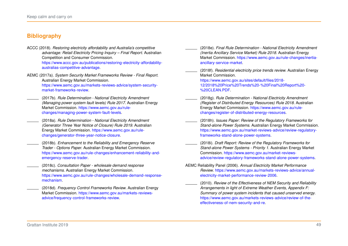# **Bibliography**

<span id="page-48-1"></span>ACCC (2018). *Restoring electricity affordability and Australia's competitive advantage: Retail Electricity Pricing Inquiry – Final Report*. Australian Competition and Consumer Commission.

[https://www.accc.gov.au/publications/restoring-electricity-affordability](https://www.accc.gov.au/publications/restoring-electricity-affordability-australias-competitive-advantage)[australias-competitive-advantage.](https://www.accc.gov.au/publications/restoring-electricity-affordability-australias-competitive-advantage)

<span id="page-48-0"></span>AEMC (2017a). *System Security Market Frameworks Review - Final Report*. Australian Energy Market Commission. [https://www.aemc.gov.au/markets-reviews-advice/system-security](https://www.aemc.gov.au/markets-reviews-advice/system-security-market-frameworks-review)[market-frameworks-review.](https://www.aemc.gov.au/markets-reviews-advice/system-security-market-frameworks-review)

- <span id="page-48-7"></span>(2017b). *Rule Determination - National Electricity Amendment (Managing power system fault levels) Rule 2017*. Australian Energy Market Commission. [https://www.aemc.gov.au/rule](https://www.aemc.gov.au/rule-changes/managing-power-system-fault-levels)[changes/managing-power-system-fault-levels.](https://www.aemc.gov.au/rule-changes/managing-power-system-fault-levels)
- <span id="page-48-4"></span>(2018a). *Rule Determination - National Electricity Amendment (Generator Three Year Notice of Closure) Rule 2019*. Australian Energy Market Commission. [https://www.aemc.gov.au/rule](https://www.aemc.gov.au/rule-changes/generator-three-year-notice-closure)[changes/generator-three-year-notice-closure.](https://www.aemc.gov.au/rule-changes/generator-three-year-notice-closure)
- <span id="page-48-5"></span>(2018b). *Enhancement to the Reliability and Emergency Reserve Trader - Options Paper*. Australian Energy Market Commission. [https://www.aemc.gov.au/rule-changes/enhancement-reliability-and](https://www.aemc.gov.au/rule-changes/enhancement-reliability-and-emergency-reserve-trader)[emergency-reserve-trader.](https://www.aemc.gov.au/rule-changes/enhancement-reliability-and-emergency-reserve-trader)
- <span id="page-48-6"></span>(2018c). *Consultation Paper - wholesale demand response mechanisms*. Australian Energy Market Commission. [https://www.aemc.gov.au/rule-changes/wholesale-demand-response](https://www.aemc.gov.au/rule-changes/wholesale-demand-response-mechanism)[mechanism.](https://www.aemc.gov.au/rule-changes/wholesale-demand-response-mechanism)

<span id="page-48-8"></span>(2018d). *Frequency Control Frameworks Review*. Australian Energy Market Commission. [https://www.aemc.gov.au/markets-reviews](https://www.aemc.gov.au/markets-reviews-advice/frequency-control-frameworks-review)[advice/frequency-control-frameworks-review.](https://www.aemc.gov.au/markets-reviews-advice/frequency-control-frameworks-review)

<span id="page-48-9"></span>(2018e). *Final Rule Determination - National Electricity Amendment (Inertia Ancillary Service Market) Rule 2018*. Australian Energy Market Commission. [https://www.aemc.gov.au/rule-changes/inertia](https://www.aemc.gov.au/rule-changes/inertia-ancillary-service-market)[ancillary-service-market.](https://www.aemc.gov.au/rule-changes/inertia-ancillary-service-market)

<span id="page-48-10"></span>(2018f). *Residential electricity price trends review*. Australian Energy Market Commission. [https://www.aemc.gov.au/sites/default/files/2018-](https://www.aemc.gov.au/sites/default/files/2018-12/2018%20Price%20Trends%20-%20Final%20Report%20-%20CLEAN.PDF) [12/2018%20Price%20Trends%20-%20Final%20Report%20-](https://www.aemc.gov.au/sites/default/files/2018-12/2018%20Price%20Trends%20-%20Final%20Report%20-%20CLEAN.PDF) [%20CLEAN.PDF.](https://www.aemc.gov.au/sites/default/files/2018-12/2018%20Price%20Trends%20-%20Final%20Report%20-%20CLEAN.PDF)

- <span id="page-48-11"></span>(2018g). *Rule Determination - National Electricity Amendment (Register of Distributed Energy Resources) Rule 2018*. Australian Energy Market Commission. [https://www.aemc.gov.au/rule](https://www.aemc.gov.au/rule-changes/register-of-distributed-energy-resources)[changes/register-of-distributed-energy-resources.](https://www.aemc.gov.au/rule-changes/register-of-distributed-energy-resources)
- <span id="page-48-12"></span>(2018h). *Issues Paper: Review of the Regulatory Frameworks for Stand-alone Power Systems*. Australian Energy Market Commission. [https://www.aemc.gov.au/market-reviews-advice/review-regulatory](https://www.aemc.gov.au/market-reviews-advice/review-regulatory-frameworks-stand-alone-power-systems)[frameworks-stand-alone-power-systems.](https://www.aemc.gov.au/market-reviews-advice/review-regulatory-frameworks-stand-alone-power-systems)
- <span id="page-48-13"></span>(2018i). *Draft Report: Review of the Regulatory Frameworks for Stand-alone Power Systems - Priority 1*. Australian Energy Market Commission. [https://www.aemc.gov.au/market-reviews](https://www.aemc.gov.au/market-reviews-advice/review-regulatory-frameworks-stand-alone-power-systems)[advice/review-regulatory-frameworks-stand-alone-power-systems.](https://www.aemc.gov.au/market-reviews-advice/review-regulatory-frameworks-stand-alone-power-systems)
- <span id="page-48-3"></span><span id="page-48-2"></span>AEMC Reliability Panel (2006). *Annual Electricity Market Performance Review*. [https://www.aemc.gov.au/markets-reviews-advice/annual](https://www.aemc.gov.au/markets-reviews-advice/annual-electricity-market-performance-review-2006)[electricity-market-performance-review-2006.](https://www.aemc.gov.au/markets-reviews-advice/annual-electricity-market-performance-review-2006)
	- (2010). *Review of the Effectiveness of NEM Security and Reliability Arrangements in light of Extreme Weather Events, Appendix F: Summary of power system incidents that caused unserved energy*. [https://www.aemc.gov.au/markets-reviews-advice/review-of-the](https://www.aemc.gov.au/markets-reviews-advice/review-of-the-effectiveness-of-nem-security-and-re)[effectiveness-of-nem-security-and-re.](https://www.aemc.gov.au/markets-reviews-advice/review-of-the-effectiveness-of-nem-security-and-re)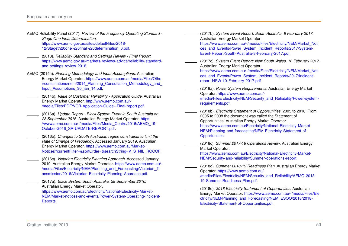- <span id="page-49-12"></span>AEMC Reliability Panel (2017). *Review of the Frequency Operating Standard - Stage One Final Determination*. [https://www.aemc.gov.au/sites/default/files/2018-](https://www.aemc.gov.au/sites/default/files/2018-12/Stage%20one%20final%20determination_0.pdf) [12/Stage%20one%20final%20determination\\_0.pdf.](https://www.aemc.gov.au/sites/default/files/2018-12/Stage%20one%20final%20determination_0.pdf)
- <span id="page-49-3"></span>(2018). *Reliability Standard and Settings Review - Final Report*. [https://www.aemc.gov.au/markets-reviews-advice/reliability-standard](https://www.aemc.gov.au/markets-reviews-advice/reliability-standard-and-settings-review-2018)[and-settings-review-2018.](https://www.aemc.gov.au/markets-reviews-advice/reliability-standard-and-settings-review-2018)
- <span id="page-49-9"></span>AEMO (2014a). *Planning Methodology and Input Assumptions*. Australian Energy Market Operator. [https://www.aemo.com.au/media/Files/Othe](https://www.aemo.com.au/media/Files/Other/consultations/nem/2014_Planning_Consultation_Methodology_and_Input_Assumptions_30_jan_14.pdf) [r/consultations/nem/2014\\_Planning\\_Consultation\\_Methodology\\_and\\_](https://www.aemo.com.au/media/Files/Other/consultations/nem/2014_Planning_Consultation_Methodology_and_Input_Assumptions_30_jan_14.pdf) Input Assumptions 30 jan 14.pdf.
	- (2014b). *Value of Customer Reliability Application Guide*. Australian Energy Market Operator. [http://www.aemo.com.au/-](http://www.aemo.com.au/-/media/Files/PDF/VCR-Application-Guide--Final-report.pdf) [/media/Files/PDF/VCR-Application-Guide--Final-report.pdf.](http://www.aemo.com.au/-/media/Files/PDF/VCR-Application-Guide--Final-report.pdf)
- <span id="page-49-10"></span><span id="page-49-1"></span>(2016a). *Update Report - Black System Event in South Australia on 28 September 2016*. Australian Energy Market Operator. [https:](https://www.aemo.com.au/-/media/Files/Media_Centre/2016/AEMO_19-October-2016_SA-UPDATE-REPORT.pdf) [//www.aemo.com.au/-/media/Files/Media\\_Centre/2016/AEMO\\_19-](https://www.aemo.com.au/-/media/Files/Media_Centre/2016/AEMO_19-October-2016_SA-UPDATE-REPORT.pdf) [October-2016\\_SA-UPDATE-REPORT.pdf.](https://www.aemo.com.au/-/media/Files/Media_Centre/2016/AEMO_19-October-2016_SA-UPDATE-REPORT.pdf)
- <span id="page-49-13"></span>(2016b). *Changes to South Australian region constraints to limit the Rate of Change of Frequency*. Accessed January 2019. Australian Energy Market Operator. [https://www.aemo.com.au/Market-](https://www.aemo.com.au/Market-Notices?currentFilter=&sortOrder=&searchString=V_S_NIL_ROCOF)[Notices?currentFilter=&sortOrder=&searchString=V\\_S\\_NIL\\_ROCOF.](https://www.aemo.com.au/Market-Notices?currentFilter=&sortOrder=&searchString=V_S_NIL_ROCOF)
- <span id="page-49-14"></span>(2016c). *Victorian Electricity Planning Approach*. Accessed January 2019. Australian Energy Market Operator. [https://www.aemo.com.au/-](https://www.aemo.com.au/-/media/Files/Electricity/NEM/Planning_and_Forecasting/Victorian_Transmission/2016/Victorian-Electricity-Planning-Approach.pdf) [/media/Files/Electricity/NEM/Planning\\_and\\_Forecasting/Victorian\\_Tr](https://www.aemo.com.au/-/media/Files/Electricity/NEM/Planning_and_Forecasting/Victorian_Transmission/2016/Victorian-Electricity-Planning-Approach.pdf) [ansmission/2016/Victorian-Electricity-Planning-Approach.pdf.](https://www.aemo.com.au/-/media/Files/Electricity/NEM/Planning_and_Forecasting/Victorian_Transmission/2016/Victorian-Electricity-Planning-Approach.pdf)
	- (2017a). *Black System South Australia, 28 September 2016*. Australian Energy Market Operator. [https://www.aemo.com.au/Electricity/National-Electricity-Market-](https://www.aemo.com.au/Electricity/National-Electricity-Market-NEM/Market-notices-and-events/Power-System-Operating-Incident-Reports)

<span id="page-49-0"></span>[NEM/Market-notices-and-events/Power-System-Operating-Incident-](https://www.aemo.com.au/Electricity/National-Electricity-Market-NEM/Market-notices-and-events/Power-System-Operating-Incident-Reports)[Reports.](https://www.aemo.com.au/Electricity/National-Electricity-Market-NEM/Market-notices-and-events/Power-System-Operating-Incident-Reports)

- <span id="page-49-2"></span>(2017b). *System Event Report: South Australia, 8 February 2017*. Australian Energy Market Operator.
	- [https://www.aemo.com.au/-/media/Files/Electricity/NEM/Market\\_Noti](https://www.aemo.com.au/-/media/Files/Electricity/NEM/Market_Notices_and_Events/Power_System_Incident_Reports/2017/System-Event-Report-South-Australia-8-February-2017.pdf) [ces\\_and\\_Events/Power\\_System\\_Incident\\_Reports/2017/System-](https://www.aemo.com.au/-/media/Files/Electricity/NEM/Market_Notices_and_Events/Power_System_Incident_Reports/2017/System-Event-Report-South-Australia-8-February-2017.pdf)[Event-Report-South-Australia-8-February-2017.pdf.](https://www.aemo.com.au/-/media/Files/Electricity/NEM/Market_Notices_and_Events/Power_System_Incident_Reports/2017/System-Event-Report-South-Australia-8-February-2017.pdf)
- <span id="page-49-11"></span>(2017c). *System Event Report: New South Wales, 10 February 2017*. Australian Energy Market Operator.

[https://www.aemo.com.au/-/media/Files/Electricity/NEM/Market\\_Noti](https://www.aemo.com.au/-/media/Files/Electricity/NEM/Market_Notices_and_Events/Power_System_Incident_Reports/2017/Incident-report-NSW-10-February-2017.pdf) [ces\\_and\\_Events/Power\\_System\\_Incident\\_Reports/2017/Incident](https://www.aemo.com.au/-/media/Files/Electricity/NEM/Market_Notices_and_Events/Power_System_Incident_Reports/2017/Incident-report-NSW-10-February-2017.pdf)[report-NSW-10-February-2017.pdf.](https://www.aemo.com.au/-/media/Files/Electricity/NEM/Market_Notices_and_Events/Power_System_Incident_Reports/2017/Incident-report-NSW-10-February-2017.pdf)

<span id="page-49-4"></span>(2018a). *Power System Requirements*. Australian Energy Market Operator. [https://www.aemo.com.au/-](https://www.aemo.com.au/-/media/Files/Electricity/NEM/Security_and_Reliability/Power-system-requirements.pdf) [/media/Files/Electricity/NEM/Security\\_and\\_Reliability/Power-system](https://www.aemo.com.au/-/media/Files/Electricity/NEM/Security_and_Reliability/Power-system-requirements.pdf)[requirements.pdf.](https://www.aemo.com.au/-/media/Files/Electricity/NEM/Security_and_Reliability/Power-system-requirements.pdf)

<span id="page-49-5"></span>(2018b). *Electricity Statement of Opportunities*. 2005 to 2018. From 2005 to 2008 the document was called the Statement of Opportunities. Australian Energy Market Operator. [https://www.aemo.com.au/Electricity/National-Electricity-Market-](https://www.aemo.com.au/Electricity/National-Electricity-Market-NEM/Planning-and-forecasting/NEM-Electricity-Statement-of-Opportunities)[NEM/Planning-and-forecasting/NEM-Electricity-Statement-of-](https://www.aemo.com.au/Electricity/National-Electricity-Market-NEM/Planning-and-forecasting/NEM-Electricity-Statement-of-Opportunities)[Opportunities.](https://www.aemo.com.au/Electricity/National-Electricity-Market-NEM/Planning-and-forecasting/NEM-Electricity-Statement-of-Opportunities)

<span id="page-49-6"></span>(2018c). *Summer 2017-18 Operations Review*. Australian Energy Market Operator.

[https://www.aemo.com.au/Electricity/National-Electricity-Market-](https://www.aemo.com.au/Electricity/National-Electricity-Market-NEM/Security-and-reliability/Summer-operations-report)[NEM/Security-and-reliability/Summer-operations-report.](https://www.aemo.com.au/Electricity/National-Electricity-Market-NEM/Security-and-reliability/Summer-operations-report)

- <span id="page-49-7"></span>(2018d). *Summer 2018-19 Readiness Plan*. Australian Energy Market Operator. [https://www.aemo.com.au/-](https://www.aemo.com.au/-/media/Files/Electricity/NEM/Security_and_Reliability/AEMO-2018-19-Summer-Readiness-Plan.pdf) [/media/Files/Electricity/NEM/Security\\_and\\_Reliability/AEMO-2018-](https://www.aemo.com.au/-/media/Files/Electricity/NEM/Security_and_Reliability/AEMO-2018-19-Summer-Readiness-Plan.pdf) [19-Summer-Readiness-Plan.pdf.](https://www.aemo.com.au/-/media/Files/Electricity/NEM/Security_and_Reliability/AEMO-2018-19-Summer-Readiness-Plan.pdf)
- <span id="page-49-8"></span>(2018e). *2018 Electricity Statement of Opportunities*. Australian Energy Market Operator. [https://www.aemo.com.au/-/media/Files/Ele](https://www.aemo.com.au/-/media/Files/Electricity/NEM/Planning_and_Forecasting/NEM_ESOO/2018/2018-Electricity-Statement-of-Opportunities.pdf) [ctricity/NEM/Planning\\_and\\_Forecasting/NEM\\_ESOO/2018/2018-](https://www.aemo.com.au/-/media/Files/Electricity/NEM/Planning_and_Forecasting/NEM_ESOO/2018/2018-Electricity-Statement-of-Opportunities.pdf) [Electricity-Statement-of-Opportunities.pdf.](https://www.aemo.com.au/-/media/Files/Electricity/NEM/Planning_and_Forecasting/NEM_ESOO/2018/2018-Electricity-Statement-of-Opportunities.pdf)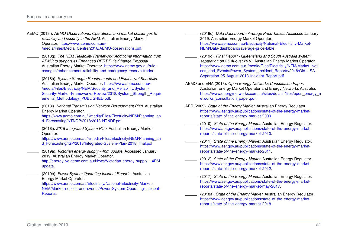- <span id="page-50-9"></span>AEMO (2018f). *AEMO Observations: Operational and market challenges to reliability and security in the NEM*. Australian Energy Market Operator. [https://www.aemo.com.au/-](https://www.aemo.com.au/-/media/Files/Media_Centre/2018/AEMO-observations.pdf) [/media/Files/Media\\_Centre/2018/AEMO-observations.pdf.](https://www.aemo.com.au/-/media/Files/Media_Centre/2018/AEMO-observations.pdf)
- <span id="page-50-10"></span>(2018g). *The NEM Reliability Framework: Additional Information from AEMO to support its Enhanced RERT Rule Change Proposal*. Australian Energy Market Operator. [https://www.aemc.gov.au/rule](https://www.aemc.gov.au/rule-changes/enhancement-reliability-and-emergency-reserve-trader)[changes/enhancement-reliability-and-emergency-reserve-trader.](https://www.aemc.gov.au/rule-changes/enhancement-reliability-and-emergency-reserve-trader)
- <span id="page-50-11"></span>(2018h). *System Strength Requirements and Fault Level Shortfalls*. Australian Energy Market Operator. [https://www.aemo.com.au/-](https://www.aemo.com.au/-/media/Files/Electricity/NEM/Security_and_Reliability/System-Security-Market-Frameworks-Review/2018/System_Strength_Requirements_Methodology_PUBLISHED.pdf) [/media/Files/Electricity/NEM/Security\\_and\\_Reliability/System-](https://www.aemo.com.au/-/media/Files/Electricity/NEM/Security_and_Reliability/System-Security-Market-Frameworks-Review/2018/System_Strength_Requirements_Methodology_PUBLISHED.pdf)[Security-Market-Frameworks-Review/2018/System\\_Strength\\_Requir](https://www.aemo.com.au/-/media/Files/Electricity/NEM/Security_and_Reliability/System-Security-Market-Frameworks-Review/2018/System_Strength_Requirements_Methodology_PUBLISHED.pdf) [ements\\_Methodology\\_PUBLISHED.pdf.](https://www.aemo.com.au/-/media/Files/Electricity/NEM/Security_and_Reliability/System-Security-Market-Frameworks-Review/2018/System_Strength_Requirements_Methodology_PUBLISHED.pdf)
- <span id="page-50-12"></span>(2018i). *National Transmission Network Development Plan*. Australian Energy Market Operator.

[https://www.aemo.com.au/-/media/Files/Electricity/NEM/Planning\\_an](https://www.aemo.com.au/-/media/Files/Electricity/NEM/Planning_and_Forecasting/NTNDP/2018/2018-NTNDP.pdf) [d\\_Forecasting/NTNDP/2018/2018-NTNDP.pdf.](https://www.aemo.com.au/-/media/Files/Electricity/NEM/Planning_and_Forecasting/NTNDP/2018/2018-NTNDP.pdf)

<span id="page-50-14"></span>(2018j). *2018 Integrated System Plan*. Australian Energy Market Operator.

[https://www.aemo.com.au/-/media/Files/Electricity/NEM/Planning\\_an](https://www.aemo.com.au/-/media/Files/Electricity/NEM/Planning_and_Forecasting/ISP/2018/Integrated-System-Plan-2018_final.pdf) d Forecasting/ISP/2018/Integrated-System-Plan-2018 final.pdf.

<span id="page-50-1"></span>(2019a). *Victorian energy supply - 4pm update*. Accessed January 2019. Australian Energy Market Operator.

[http://energylive.aemo.com.au/News/Victorian-energy-supply---4PM](http://energylive.aemo.com.au/News/Victorian-energy-supply---4PM-update)[update.](http://energylive.aemo.com.au/News/Victorian-energy-supply---4PM-update)

<span id="page-50-2"></span>(2019b). *Power System Operating Incident Reports*. Australian Energy Market Operator.

[https://www.aemo.com.au/Electricity/National-Electricity-Market-](https://www.aemo.com.au/Electricity/National-Electricity-Market-NEM/Market-notices-and-events/Power-System-Operating-Incident-Reports)[NEM/Market-notices-and-events/Power-System-Operating-Incident-](https://www.aemo.com.au/Electricity/National-Electricity-Market-NEM/Market-notices-and-events/Power-System-Operating-Incident-Reports)[Reports.](https://www.aemo.com.au/Electricity/National-Electricity-Market-NEM/Market-notices-and-events/Power-System-Operating-Incident-Reports)

- <span id="page-50-4"></span>(2019c). *Data Dashboard - Average Price Tables*. Accessed January 2019. Australian Energy Market Operator. [https://www.aemo.com.au/Electricity/National-Electricity-Market-](https://www.aemo.com.au/Electricity/National-Electricity-Market-NEM/Data-dashboard#average-price-table)[NEM/Data-dashboard#average-price-table.](https://www.aemo.com.au/Electricity/National-Electricity-Market-NEM/Data-dashboard#average-price-table)
- <span id="page-50-13"></span>(2019d). *Final Report - Queensland and South Australia system separation on 25 August 2018*. Australian Energy Market Operator. [https://www.aemo.com.au/-/media/Files/Electricity/NEM/Market\\_Noti](https://www.aemo.com.au/-/media/Files/Electricity/NEM/Market_Notices_and_Events/Power_System_Incident_Reports/2018/Qld---SA-Separation-25-August-2018-Incident-Report.pdf) [ces\\_and\\_Events/Power\\_System\\_Incident\\_Reports/2018/Qld---SA-](https://www.aemo.com.au/-/media/Files/Electricity/NEM/Market_Notices_and_Events/Power_System_Incident_Reports/2018/Qld---SA-Separation-25-August-2018-Incident-Report.pdf)[Separation-25-August-2018-Incident-Report.pdf.](https://www.aemo.com.au/-/media/Files/Electricity/NEM/Market_Notices_and_Events/Power_System_Incident_Reports/2018/Qld---SA-Separation-25-August-2018-Incident-Report.pdf)
- <span id="page-50-15"></span>AEMO and ENA (2018). *Open Energy Networks Consultation Paper*. Australian Energy Market Operator and Energy Networks Australia. [https://www.energynetworks.com.au/sites/default/files/open\\_energy\\_n](https://www.energynetworks.com.au/sites/default/files/open_energy_networks_consultation_paper.pdf) [etworks\\_consultation\\_paper.pdf.](https://www.energynetworks.com.au/sites/default/files/open_energy_networks_consultation_paper.pdf)
- <span id="page-50-5"></span>AER (2009). *State of the Energy Market*. Australian Energy Regulator. [https://www.aer.gov.au/publications/state-of-the-energy-market](https://www.aer.gov.au/publications/state-of-the-energy-market-reports/state-of-the-energy-market-2009)[reports/state-of-the-energy-market-2009.](https://www.aer.gov.au/publications/state-of-the-energy-market-reports/state-of-the-energy-market-2009)
- <span id="page-50-6"></span>(2010). *State of the Energy Market*. Australian Energy Regulator. [https://www.aer.gov.au/publications/state-of-the-energy-market](https://www.aer.gov.au/publications/state-of-the-energy-market-reports/state-of-the-energy-market-2010)[reports/state-of-the-energy-market-2010.](https://www.aer.gov.au/publications/state-of-the-energy-market-reports/state-of-the-energy-market-2010)
- <span id="page-50-7"></span>(2011). *State of the Energy Market*. Australian Energy Regulator. [https://www.aer.gov.au/publications/state-of-the-energy-market](https://www.aer.gov.au/publications/state-of-the-energy-market-reports/state-of-the-energy-market-2011)[reports/state-of-the-energy-market-2011.](https://www.aer.gov.au/publications/state-of-the-energy-market-reports/state-of-the-energy-market-2011)
- <span id="page-50-8"></span>(2012). *State of the Energy Market*. Australian Energy Regulator. [https://www.aer.gov.au/publications/state-of-the-energy-market](https://www.aer.gov.au/publications/state-of-the-energy-market-reports/state-of-the-energy-market-2012)[reports/state-of-the-energy-market-2012.](https://www.aer.gov.au/publications/state-of-the-energy-market-reports/state-of-the-energy-market-2012)
- <span id="page-50-3"></span>(2017). *State of the Energy Market*. Australian Energy Regulator. [https://www.aer.gov.au/publications/state-of-the-energy-market](https://www.aer.gov.au/publications/state-of-the-energy-market-reports/state-of-the-energy-market-may-2017)[reports/state-of-the-energy-market-may-2017.](https://www.aer.gov.au/publications/state-of-the-energy-market-reports/state-of-the-energy-market-may-2017)
- <span id="page-50-0"></span>(2018a). *State of the Energy Market*. Australian Energy Regulator. [https://www.aer.gov.au/publications/state-of-the-energy-market](https://www.aer.gov.au/publications/state-of-the-energy-market-reports/state-of-the-energy-market-2018)[reports/state-of-the-energy-market-2018.](https://www.aer.gov.au/publications/state-of-the-energy-market-reports/state-of-the-energy-market-2018)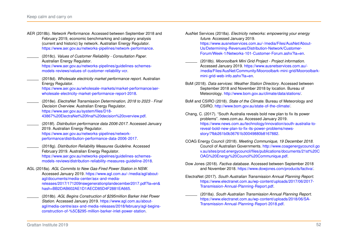- <span id="page-51-15"></span><span id="page-51-13"></span><span id="page-51-12"></span><span id="page-51-7"></span><span id="page-51-4"></span><span id="page-51-2"></span><span id="page-51-1"></span>AER (2018b). *Network Performance*. Accessed between September 2018 and February 2019, economic benchmarking and category analysis (current and historic) by network. Australian Energy Regulator. [https://www.aer.gov.au/networks-pipelines/network-performance.](https://www.aer.gov.au/networks-pipelines/network-performance) (2018c). *Values of Customer Reliability - Consultation Paper*. Australian Energy Regulator. [https://www.aer.gov.au/networks-pipelines/guidelines-schemes](https://www.aer.gov.au/networks-pipelines/guidelines-schemes-models-reviews/values-of-customer-reliability-vcr)[models-reviews/values-of-customer-reliability-vcr.](https://www.aer.gov.au/networks-pipelines/guidelines-schemes-models-reviews/values-of-customer-reliability-vcr) (2018d). *Wholesale electricity market performance report*. Australian Energy Regulator. [https://www.aer.gov.au/wholesale-markets/market-performance/aer](https://www.aer.gov.au/wholesale-markets/market-performance/aer-wholesale-electricity-market-performance-report-2018)[wholesale-electricity-market-performance-report-2018.](https://www.aer.gov.au/wholesale-markets/market-performance/aer-wholesale-electricity-market-performance-report-2018) (2018e). *ElectraNet Transmission Determination, 2018 to 2023 - Final Decision Overview*. Australian Energy Regulator. [https://www.aer.gov.au/system/files/D18-](https://www.aer.gov.au/system/files/D18-43867%20ElectraNet%20final%20decision%20overview.pdf) [43867%20ElectraNet%20final%20decision%20overview.pdf.](https://www.aer.gov.au/system/files/D18-43867%20ElectraNet%20final%20decision%20overview.pdf) (2018f). *Distribution performance data 2006-2017*. Accessed January 2019. Australian Energy Regulator. [https://www.aer.gov.au/networks-pipelines/network](https://www.aer.gov.au/networks-pipelines/network-performance/distribution-performance-data-2006-2017)[performance/distribution-performance-data-2006-2017.](https://www.aer.gov.au/networks-pipelines/network-performance/distribution-performance-data-2006-2017) (2018g). *Distribution Reliability Measures Guideline*. Accessed February 2019. Australian Energy Regulator. [https://www.aer.gov.au/networks-pipelines/guidelines-schemes](https://www.aer.gov.au/networks-pipelines/guidelines-schemes-models-reviews/distribution-reliability-measures-guideline-2018)[models-reviews/distribution-reliability-measures-guideline-2018.](https://www.aer.gov.au/networks-pipelines/guidelines-schemes-models-reviews/distribution-reliability-measures-guideline-2018) AGL (2018a). *AGL Commits to New Gas-Fired Power Station in NSW*. Accessed January 2019. [https://www.agl.com.au/-/media/agl/about](https://www.agl.com.au/-/media/agl/about-agl/documents/media-center/asx-and-media-releases/2017/171209nswgenerationplandecember2017.pdf?la=en&hash=BB2DAB602AE1D1AECD85D4F2881EA665)[agl/documents/media-center/asx-and-media](https://www.agl.com.au/-/media/agl/about-agl/documents/media-center/asx-and-media-releases/2017/171209nswgenerationplandecember2017.pdf?la=en&hash=BB2DAB602AE1D1AECD85D4F2881EA665)[releases/2017/171209nswgenerationplandecember2017.pdf?la=en&](https://www.agl.com.au/-/media/agl/about-agl/documents/media-center/asx-and-media-releases/2017/171209nswgenerationplandecember2017.pdf?la=en&hash=BB2DAB602AE1D1AECD85D4F2881EA665) [hash=BB2DAB602AE1D1AECD85D4F2881EA665.](https://www.agl.com.au/-/media/agl/about-agl/documents/media-center/asx-and-media-releases/2017/171209nswgenerationplandecember2017.pdf?la=en&hash=BB2DAB602AE1D1AECD85D4F2881EA665) (2018b). *AGL Begins Construction of \$295million Barker Inlet Power*
	- *Station*. Accessed January 2019. [https://www.agl.com.au/about](https://www.agl.com.au/about-agl/media-centre/asx-and-media-releases/2018/february/agl-begins-construction-of-%5C$295-million-barker-inlet-power-station)[agl/media-centre/asx-and-media-releases/2018/february/agl-begins](https://www.agl.com.au/about-agl/media-centre/asx-and-media-releases/2018/february/agl-begins-construction-of-%5C$295-million-barker-inlet-power-station)[construction-of-%5C\\$295-million-barker-inlet-power-station.](https://www.agl.com.au/about-agl/media-centre/asx-and-media-releases/2018/february/agl-begins-construction-of-%5C$295-million-barker-inlet-power-station)

<span id="page-51-14"></span>AusNet Services (2018a). *Electricity networks: empowering your energy future*. Accessed January 2019.

[https://www.ausnetservices.com.au/-/media/Files/AusNet/About-](https://www.ausnetservices.com.au/-/media/Files/AusNet/About-Us/Determining-Revenues/Distribution-Network/Customer-Forum/Week-1/Networks-101-Customer-Forum.ashx?la=en)[Us/Determining-Revenues/Distribution-Network/Customer-](https://www.ausnetservices.com.au/-/media/Files/AusNet/About-Us/Determining-Revenues/Distribution-Network/Customer-Forum/Week-1/Networks-101-Customer-Forum.ashx?la=en)[Forum/Week-1/Networks-101-Customer-Forum.ashx?la=en.](https://www.ausnetservices.com.au/-/media/Files/AusNet/About-Us/Determining-Revenues/Distribution-Network/Customer-Forum/Week-1/Networks-101-Customer-Forum.ashx?la=en)

- <span id="page-51-16"></span>(2018b). *Mooroolbark Mini Grid Project - Project information*. Accessed January 2019. [https://www.ausnetservices.com.au/-](https://www.ausnetservices.com.au/-/media/Files/AusNet/Community/Mooroolbark-mini-grid/Mooroolbark-mini-grid-web-info.ashx?la=en) [/media/Files/AusNet/Community/Mooroolbark-mini-grid/Mooroolbark](https://www.ausnetservices.com.au/-/media/Files/AusNet/Community/Mooroolbark-mini-grid/Mooroolbark-mini-grid-web-info.ashx?la=en)[mini-grid-web-info.ashx?la=en.](https://www.ausnetservices.com.au/-/media/Files/AusNet/Community/Mooroolbark-mini-grid/Mooroolbark-mini-grid-web-info.ashx?la=en)
- <span id="page-51-3"></span>BoM (2018). *Data services: Weather Station Directory*. Accessed between September 2018 and November 2018 by location. Bureau of Meteorology. [http://www.bom.gov.au/climate/data/stations/.](http://www.bom.gov.au/climate/data/stations/)
- <span id="page-51-5"></span>BoM and CSIRO (2018). *State of the Climate*. Bureau of Meteorology and CSIRO. [http://www.bom.gov.au/state-of-the-climate/.](http://www.bom.gov.au/state-of-the-climate/)
- <span id="page-51-8"></span>Chang, C. (2017). "South Australia reveals bold new plan to fix its power problems". *news.com.au*. Accessed January 2019. [https://www.news.com.au/technology/innovation/south-australia-to](https://www.news.com.au/technology/innovation/south-australia-to-reveal-bold-new-plan-to-fix-its-power-problems/news-story/7fbb261b0b36761b30049880b8167882)[reveal-bold-new-plan-to-fix-its-power-problems/news](https://www.news.com.au/technology/innovation/south-australia-to-reveal-bold-new-plan-to-fix-its-power-problems/news-story/7fbb261b0b36761b30049880b8167882)[story/7fbb261b0b36761b30049880b8167882.](https://www.news.com.au/technology/innovation/south-australia-to-reveal-bold-new-plan-to-fix-its-power-problems/news-story/7fbb261b0b36761b30049880b8167882)
- <span id="page-51-6"></span>COAG Energy Council (2018). *Meeting Communique, 19 December 2018*. Council of Australian Governments. [http://www.coagenergycouncil.go](http://www.coagenergycouncil.gov.au/sites/prod.energycouncil/files/publications/documents/21st%20COAG%20Energy%20Council%20Communique.pdf) [v.au/sites/prod.energycouncil/files/publications/documents/21st%20C](http://www.coagenergycouncil.gov.au/sites/prod.energycouncil/files/publications/documents/21st%20COAG%20Energy%20Council%20Communique.pdf) [OAG%20Energy%20Council%20Communique.pdf.](http://www.coagenergycouncil.gov.au/sites/prod.energycouncil/files/publications/documents/21st%20COAG%20Energy%20Council%20Communique.pdf)
- <span id="page-51-0"></span>Dow Jones (2018). *Factiva database*. Accessed between September 2018 and November 2018. [https://www.dowjones.com/products/factiva/.](https://www.dowjones.com/products/factiva/)
- <span id="page-51-11"></span><span id="page-51-10"></span><span id="page-51-9"></span>ElectraNet (2017). *South Australian Transmission Annual Planning Report*. [https://www.electranet.com.au/wp-content/uploads/2017/06/2017-](https://www.electranet.com.au/wp-content/uploads/2017/06/2017-Transmission-Annual-Planning-Report.pdf) [Transmission-Annual-Planning-Report.pdf.](https://www.electranet.com.au/wp-content/uploads/2017/06/2017-Transmission-Annual-Planning-Report.pdf)
	- (2018a). *South Australian Transmission Annual Planning Report*. [https://www.electranet.com.au/wp-content/uploads/2018/06/SA-](https://www.electranet.com.au/wp-content/uploads/2018/06/SA-Transmission-Annual-Planning-Report-2018.pdf)[Transmission-Annual-Planning-Report-2018.pdf.](https://www.electranet.com.au/wp-content/uploads/2018/06/SA-Transmission-Annual-Planning-Report-2018.pdf)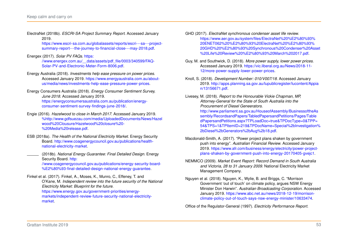<span id="page-52-14"></span>ElectraNet (2018b). *ESCRI-SA Project Summary Report*. Accessed January 2019.

> [https://www.escri-sa.com.au/globalassets/reports/escri---sa---project](https://www.escri-sa.com.au/globalassets/reports/escri---sa---project-summary-report---the-journey-to-financial-close---may-2018.pdf)[summary-report---the-journey-to-financial-close---may-2018.pdf.](https://www.escri-sa.com.au/globalassets/reports/escri---sa---project-summary-report---the-journey-to-financial-close---may-2018.pdf)

<span id="page-52-15"></span>Energex (2017). *Solar PV FAQs*. [https:](https://www.energex.com.au/__data/assets/pdf_file/0003/340599/FAQ-Solar-PV-and-Electronic-Meter-Form-8006.pdf) [//www.energex.com.au/\\_\\_data/assets/pdf\\_file/0003/340599/FAQ-](https://www.energex.com.au/__data/assets/pdf_file/0003/340599/FAQ-Solar-PV-and-Electronic-Meter-Form-8006.pdf)

[Solar-PV-and-Electronic-Meter-Form-8006.pdf.](https://www.energex.com.au/__data/assets/pdf_file/0003/340599/FAQ-Solar-PV-and-Electronic-Meter-Form-8006.pdf)

- <span id="page-52-5"></span>Energy Australia (2018). *Investments help ease pressure on power prices*. Accessed January 2019. [https://www.energyaustralia.com.au/about](https://www.energyaustralia.com.au/about-us/media/news/investments-help-ease-pressure-power-prices)[us/media/news/investments-help-ease-pressure-power-prices.](https://www.energyaustralia.com.au/about-us/media/news/investments-help-ease-pressure-power-prices)
- <span id="page-52-2"></span>Energy Consumers Australia (2018). *Energy Consumer Sentiment Survey, June 2018*. Accessed January 2019. [https://energyconsumersaustralia.com.au/publication/energy](https://energyconsumersaustralia.com.au/publication/energy-consumer-sentiment-survey-findings-june-2018/)[consumer-sentiment-survey-findings-june-2018/.](https://energyconsumersaustralia.com.au/publication/energy-consumer-sentiment-survey-findings-june-2018/)
- <span id="page-52-8"></span>Engie (2016). *Hazelwood to close in March 2017*. Accessed January 2019. [%http://www.gdfsuezau.com/media/UploadedDocuments/News/Hazel](%http://www.gdfsuezau.com/media/UploadedDocuments/News/Hazelwood%20Clousure/Hazelwood%20closure%20-%20Media%20release.pdf) [wood%20Clousure/Hazelwood%20closure%20-](%http://www.gdfsuezau.com/media/UploadedDocuments/News/Hazelwood%20Clousure/Hazelwood%20closure%20-%20Media%20release.pdf) [%20Media%20release.pdf.](%http://www.gdfsuezau.com/media/UploadedDocuments/News/Hazelwood%20Clousure/Hazelwood%20closure%20-%20Media%20release.pdf)
- <span id="page-52-1"></span>ESB (2018a). *The Health of the National Electricity Market*. Energy Security Board. [http://www.coagenergycouncil.gov.au/publications/health](http://www.coagenergycouncil.gov.au/publications/health-national-electricity-market)[national-electricity-market.](http://www.coagenergycouncil.gov.au/publications/health-national-electricity-market)
- <span id="page-52-6"></span>(2018b). *National Energy Guarantee: Final Detailed Design*. Energy Security Board. [http:](http://www.coagenergycouncil.gov.au/publications/energy-security-board-%E2%80%93-final-detailed-design-national-energy-guarantee) [//www.coagenergycouncil.gov.au/publications/energy-security-board-](http://www.coagenergycouncil.gov.au/publications/energy-security-board-%E2%80%93-final-detailed-design-national-energy-guarantee) [%E2%80%93-final-detailed-design-national-energy-guarantee.](http://www.coagenergycouncil.gov.au/publications/energy-security-board-%E2%80%93-final-detailed-design-national-energy-guarantee)
- <span id="page-52-0"></span>Finkel et al. (2017). Finkel, A., Moses, K., Munro, C., Effeney, T. and O'Kane, M. *Independent review into the future security of the National Electricity Market: Blueprint for the future*. [https://www.energy.gov.au/government-priorities/energy-](https://www.energy.gov.au/government-priorities/energy-markets/independent-review-future-security-national-electricity-market)

[markets/independent-review-future-security-national-electricity](https://www.energy.gov.au/government-priorities/energy-markets/independent-review-future-security-national-electricity-market)[market.](https://www.energy.gov.au/government-priorities/energy-markets/independent-review-future-security-national-electricity-market)

- <span id="page-52-12"></span>GHD (2017). *ElectraNet synchronous condenser asset life review*. [https://www.aer.gov.au/system/files/ElectraNet%20%E2%80%93%](https://www.aer.gov.au/system/files/ElectraNet%20%E2%80%93%20ENET062%20%E2%80%93%20ElectraNet%20%E2%80%93%20GHD%20%E2%80%93%20Synchronous%20Condenser%20Asset%20Life%20Review%20%E2%80%93%20March%202017.pdf) [20ENET062%20%E2%80%93%20ElectraNet%20%E2%80%93%](https://www.aer.gov.au/system/files/ElectraNet%20%E2%80%93%20ENET062%20%E2%80%93%20ElectraNet%20%E2%80%93%20GHD%20%E2%80%93%20Synchronous%20Condenser%20Asset%20Life%20Review%20%E2%80%93%20March%202017.pdf) [20GHD%20%E2%80%93%20Synchronous%20Condenser%20Asset](https://www.aer.gov.au/system/files/ElectraNet%20%E2%80%93%20ENET062%20%E2%80%93%20ElectraNet%20%E2%80%93%20GHD%20%E2%80%93%20Synchronous%20Condenser%20Asset%20Life%20Review%20%E2%80%93%20March%202017.pdf) [%20Life%20Review%20%E2%80%93%20March%202017.pdf.](https://www.aer.gov.au/system/files/ElectraNet%20%E2%80%93%20ENET062%20%E2%80%93%20ElectraNet%20%E2%80%93%20GHD%20%E2%80%93%20Synchronous%20Condenser%20Asset%20Life%20Review%20%E2%80%93%20March%202017.pdf)
- <span id="page-52-10"></span>Guy, M. and Southwick, D. (2018). *More power supply, lower power prices*. Accessed January 2019. [https://vic.liberal.org.au/News/2018-11-](https://vic.liberal.org.au/News/2018-11-12/more-power-supply-lower-power-prices) [12/more-power-supply-lower-power-prices.](https://vic.liberal.org.au/News/2018-11-12/more-power-supply-lower-power-prices)
- <span id="page-52-4"></span>Knoll, S. (2018). *Development Number: 010/V007/18*. Accessed January 2019. [http://apps.planning.sa.gov.au/lupublicregister/lucontent/Appia](http://apps.planning.sa.gov.au/lupublicregister/lucontent/Appian/13156671.pdf) [n/13156671.pdf.](http://apps.planning.sa.gov.au/lupublicregister/lucontent/Appian/13156671.pdf)
- <span id="page-52-9"></span>Livesey, M. (2018). *Report to the Honourable Vickie Chapman, MP, Attorney-General for the State of South Australia into the Procurement of Diesel Geneerators*.

[http://www.parliament.sa.gov.au/HouseofAssembly/BusinessoftheAs](http://www.parliament.sa.gov.au/HouseofAssembly/BusinessoftheAssembly/RecordsandPapers/TabledPapersandPetitions/Pages/TabledPapersandPetitions.aspx?TPLoadDoc=true&TPDocType=0&TPP=54&TPS=1&TPItemID=219&TPDocName=Special%2bInvestigation%2bDiesel%2bGenerators%2bAug%2b18.pdf) [sembly/RecordsandPapers/TabledPapersandPetitions/Pages/Table](http://www.parliament.sa.gov.au/HouseofAssembly/BusinessoftheAssembly/RecordsandPapers/TabledPapersandPetitions/Pages/TabledPapersandPetitions.aspx?TPLoadDoc=true&TPDocType=0&TPP=54&TPS=1&TPItemID=219&TPDocName=Special%2bInvestigation%2bDiesel%2bGenerators%2bAug%2b18.pdf) [dPapersandPetitions.aspx?TPLoadDoc=true&TPDocType=0&TPP=](http://www.parliament.sa.gov.au/HouseofAssembly/BusinessoftheAssembly/RecordsandPapers/TabledPapersandPetitions/Pages/TabledPapersandPetitions.aspx?TPLoadDoc=true&TPDocType=0&TPP=54&TPS=1&TPItemID=219&TPDocName=Special%2bInvestigation%2bDiesel%2bGenerators%2bAug%2b18.pdf) [54&TPS=1&TPItemID=219&TPDocName=Special%2bInvestigation%](http://www.parliament.sa.gov.au/HouseofAssembly/BusinessoftheAssembly/RecordsandPapers/TabledPapersandPetitions/Pages/TabledPapersandPetitions.aspx?TPLoadDoc=true&TPDocType=0&TPP=54&TPS=1&TPItemID=219&TPDocName=Special%2bInvestigation%2bDiesel%2bGenerators%2bAug%2b18.pdf) [2bDiesel%2bGenerators%2bAug%2b18.pdf.](http://www.parliament.sa.gov.au/HouseofAssembly/BusinessoftheAssembly/RecordsandPapers/TabledPapersandPetitions/Pages/TabledPapersandPetitions.aspx?TPLoadDoc=true&TPDocType=0&TPP=54&TPS=1&TPItemID=219&TPDocName=Special%2bInvestigation%2bDiesel%2bGenerators%2bAug%2b18.pdf)

- <span id="page-52-11"></span>Macdonald-Smith, A. (2017). "Power project plans shaken by government push into energy". *Australian Financial Review*. Accessed January 2019. [https://www.afr.com/business/energy/electricity/power-project](https://www.afr.com/business/energy/electricity/power-project-plans-shaken-by-government-push-into-energy-20170405-gvejc1)[plans-shaken-by-government-push-into-energy-20170405-gvejc1.](https://www.afr.com/business/energy/electricity/power-project-plans-shaken-by-government-push-into-energy-20170405-gvejc1)
- <span id="page-52-3"></span>NEMMCO (2009). *Market Event Report: Record Demand in South Australia and Victoria, 28 to 31 January 2009*. National Electricity Market Management Company.
- <span id="page-52-7"></span>Nguyen et al. (2018). Nguyen, K., Wylie, B. and Briggs, C. "Morrison Government 'out of touch' on climate policy, argues NSW Energy Minister Don Harwin". *Australian Broadcasting Corporation*. Accessed January 2019. [https://www.abc.net.au/news/2018-12-19/morrison](https://www.abc.net.au/news/2018-12-19/morrison-climate-policy-out-of-touch-says-nsw-energy-minister/10633474)[climate-policy-out-of-touch-says-nsw-energy-minister/10633474.](https://www.abc.net.au/news/2018-12-19/morrison-climate-policy-out-of-touch-says-nsw-energy-minister/10633474)

<span id="page-52-13"></span>Office of the Regulator-General (1997). *Electricity Performance Report*.